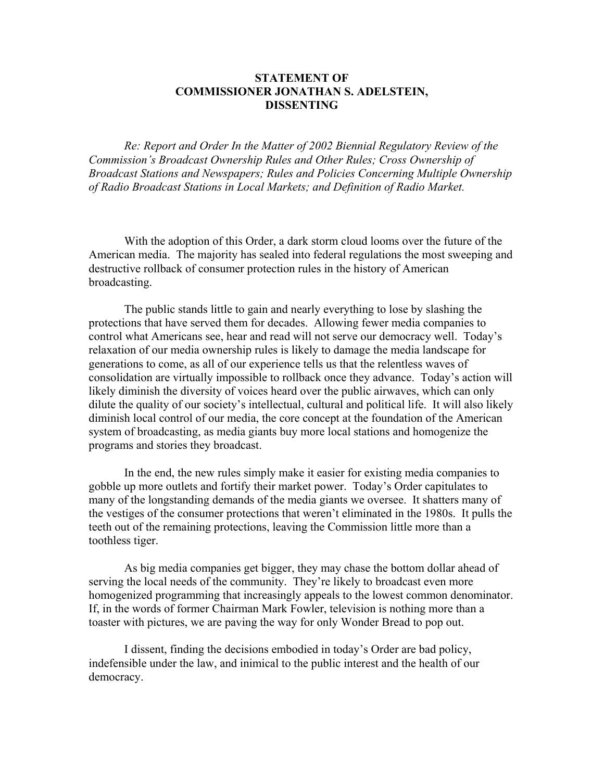# **STATEMENT OF COMMISSIONER JONATHAN S. ADELSTEIN, DISSENTING**

*Re: Report and Order In the Matter of 2002 Biennial Regulatory Review of the Commission's Broadcast Ownership Rules and Other Rules; Cross Ownership of Broadcast Stations and Newspapers; Rules and Policies Concerning Multiple Ownership of Radio Broadcast Stations in Local Markets; and Definition of Radio Market.* 

With the adoption of this Order, a dark storm cloud looms over the future of the American media. The majority has sealed into federal regulations the most sweeping and destructive rollback of consumer protection rules in the history of American broadcasting.

The public stands little to gain and nearly everything to lose by slashing the protections that have served them for decades. Allowing fewer media companies to control what Americans see, hear and read will not serve our democracy well. Today's relaxation of our media ownership rules is likely to damage the media landscape for generations to come, as all of our experience tells us that the relentless waves of consolidation are virtually impossible to rollback once they advance. Today's action will likely diminish the diversity of voices heard over the public airwaves, which can only dilute the quality of our society's intellectual, cultural and political life. It will also likely diminish local control of our media, the core concept at the foundation of the American system of broadcasting, as media giants buy more local stations and homogenize the programs and stories they broadcast.

In the end, the new rules simply make it easier for existing media companies to gobble up more outlets and fortify their market power. Today's Order capitulates to many of the longstanding demands of the media giants we oversee. It shatters many of the vestiges of the consumer protections that weren't eliminated in the 1980s. It pulls the teeth out of the remaining protections, leaving the Commission little more than a toothless tiger.

As big media companies get bigger, they may chase the bottom dollar ahead of serving the local needs of the community. They're likely to broadcast even more homogenized programming that increasingly appeals to the lowest common denominator. If, in the words of former Chairman Mark Fowler, television is nothing more than a toaster with pictures, we are paving the way for only Wonder Bread to pop out.

I dissent, finding the decisions embodied in today's Order are bad policy, indefensible under the law, and inimical to the public interest and the health of our democracy.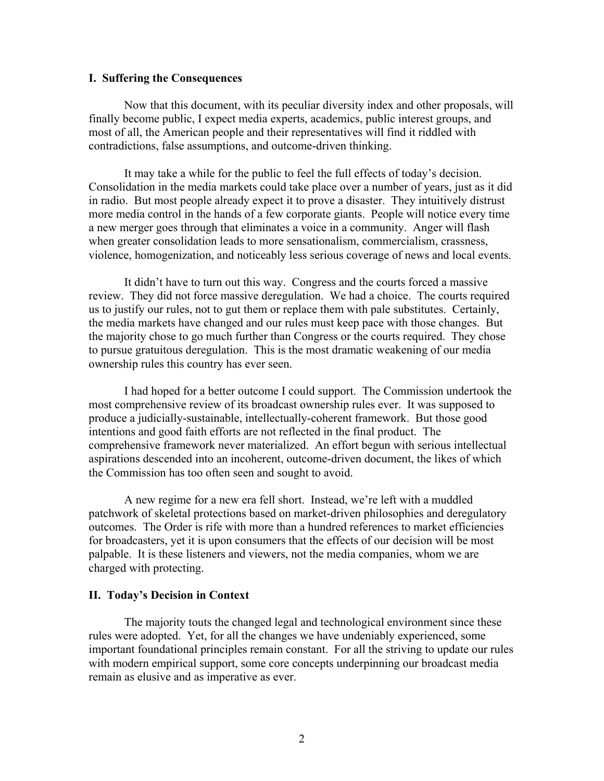## **I. Suffering the Consequences**

Now that this document, with its peculiar diversity index and other proposals, will finally become public, I expect media experts, academics, public interest groups, and most of all, the American people and their representatives will find it riddled with contradictions, false assumptions, and outcome-driven thinking.

It may take a while for the public to feel the full effects of today's decision. Consolidation in the media markets could take place over a number of years, just as it did in radio. But most people already expect it to prove a disaster. They intuitively distrust more media control in the hands of a few corporate giants. People will notice every time a new merger goes through that eliminates a voice in a community. Anger will flash when greater consolidation leads to more sensationalism, commercialism, crassness, violence, homogenization, and noticeably less serious coverage of news and local events.

It didn't have to turn out this way. Congress and the courts forced a massive review. They did not force massive deregulation. We had a choice. The courts required us to justify our rules, not to gut them or replace them with pale substitutes. Certainly, the media markets have changed and our rules must keep pace with those changes. But the majority chose to go much further than Congress or the courts required. They chose to pursue gratuitous deregulation. This is the most dramatic weakening of our media ownership rules this country has ever seen.

I had hoped for a better outcome I could support. The Commission undertook the most comprehensive review of its broadcast ownership rules ever. It was supposed to produce a judicially-sustainable, intellectually-coherent framework. But those good intentions and good faith efforts are not reflected in the final product. The comprehensive framework never materialized. An effort begun with serious intellectual aspirations descended into an incoherent, outcome-driven document, the likes of which the Commission has too often seen and sought to avoid.

A new regime for a new era fell short. Instead, we're left with a muddled patchwork of skeletal protections based on market-driven philosophies and deregulatory outcomes. The Order is rife with more than a hundred references to market efficiencies for broadcasters, yet it is upon consumers that the effects of our decision will be most palpable. It is these listeners and viewers, not the media companies, whom we are charged with protecting.

### **II. Today's Decision in Context**

 The majority touts the changed legal and technological environment since these rules were adopted. Yet, for all the changes we have undeniably experienced, some important foundational principles remain constant. For all the striving to update our rules with modern empirical support, some core concepts underpinning our broadcast media remain as elusive and as imperative as ever.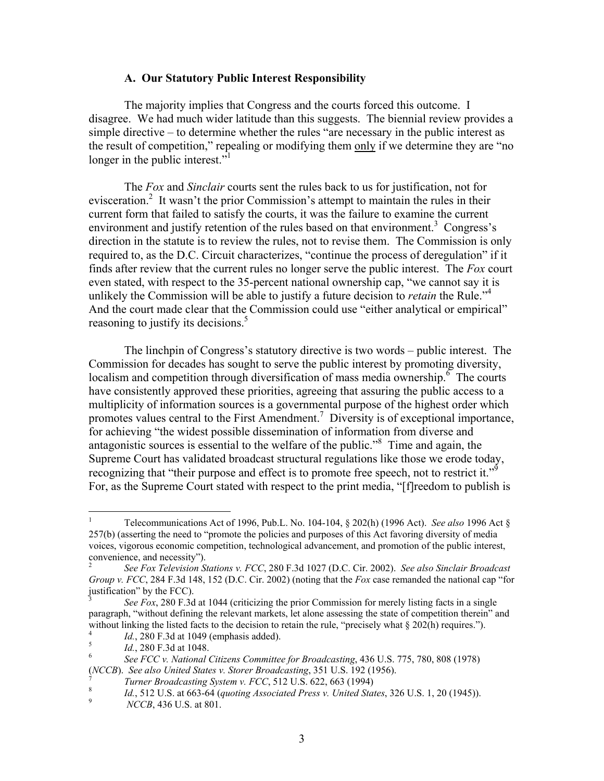## **A. Our Statutory Public Interest Responsibility**

The majority implies that Congress and the courts forced this outcome. I disagree. We had much wider latitude than this suggests. The biennial review provides a simple directive – to determine whether the rules "are necessary in the public interest as the result of competition," repealing or modifying them only if we determine they are "no longer in the public interest."<sup>1</sup>

The *Fox* and *Sinclair* courts sent the rules back to us for justification, not for evisceration.<sup>2</sup> It wasn't the prior Commission's attempt to maintain the rules in their current form that failed to satisfy the courts, it was the failure to examine the current environment and justify retention of the rules based on that environment.<sup>3</sup> Congress's direction in the statute is to review the rules, not to revise them. The Commission is only required to, as the D.C. Circuit characterizes, "continue the process of deregulation" if it finds after review that the current rules no longer serve the public interest. The *Fox* court even stated, with respect to the 35-percent national ownership cap, "we cannot say it is unlikely the Commission will be able to justify a future decision to *retain* the Rule."4 And the court made clear that the Commission could use "either analytical or empirical" reasoning to justify its decisions.<sup>5</sup>

The linchpin of Congress's statutory directive is two words – public interest. The Commission for decades has sought to serve the public interest by promoting diversity, localism and competition through diversification of mass media ownership.<sup>6</sup> The courts have consistently approved these priorities, agreeing that assuring the public access to a multiplicity of information sources is a governmental purpose of the highest order which promotes values central to the First Amendment.<sup>7</sup> Diversity is of exceptional importance, for achieving "the widest possible dissemination of information from diverse and antagonistic sources is essential to the welfare of the public."<sup>8</sup> Time and again, the Supreme Court has validated broadcast structural regulations like those we erode today, recognizing that "their purpose and effect is to promote free speech, not to restrict it."<sup>9</sup> For, as the Supreme Court stated with respect to the print media, "[f]reedom to publish is

 $\frac{1}{1}$  Telecommunications Act of 1996, Pub.L. No. 104-104, § 202(h) (1996 Act). *See also* 1996 Act § 257(b) (asserting the need to "promote the policies and purposes of this Act favoring diversity of media voices, vigorous economic competition, technological advancement, and promotion of the public interest, convenience, and necessity").<br> $\frac{2}{\pi}$  See For Television St.

*See Fox Television Stations v. FCC*, 280 F.3d 1027 (D.C. Cir. 2002). *See also Sinclair Broadcast Group v. FCC*, 284 F.3d 148, 152 (D.C. Cir. 2002) (noting that the *Fox* case remanded the national cap "for justification" by the FCC).

<sup>3</sup> *See Fox*, 280 F.3d at 1044 (criticizing the prior Commission for merely listing facts in a single paragraph, "without defining the relevant markets, let alone assessing the state of competition therein" and without linking the listed facts to the decision to retain the rule, "precisely what  $\S$  202(h) requires.").

 $I_{d}^{4}$  *Id.*, 280 F.3d at 1049 (emphasis added).

<sup>&</sup>lt;sup>5</sup> *Id.*, 280 F.3d at 1048.

*See FCC v. National Citizens Committee for Broadcasting*, 436 U.S. 775, 780, 808 (1978) (*NCCB*). *See also United States v. Storer Broadcasting*, 351 U.S. 192 (1956). 7

*T*<br>*Turner Broadcasting System v. FCC*, 512 U.S. 622, 663 (1994)<br>*M* 512 U.S. at 663, 64 (quoting Associated Press v. United Sta

*Id.*, 512 U.S. at 663-64 (*quoting Associated Press v. United States*, 326 U.S. 1, 20 (1945)).<br><sup>9</sup>

*NCCB*, 436 U.S. at 801.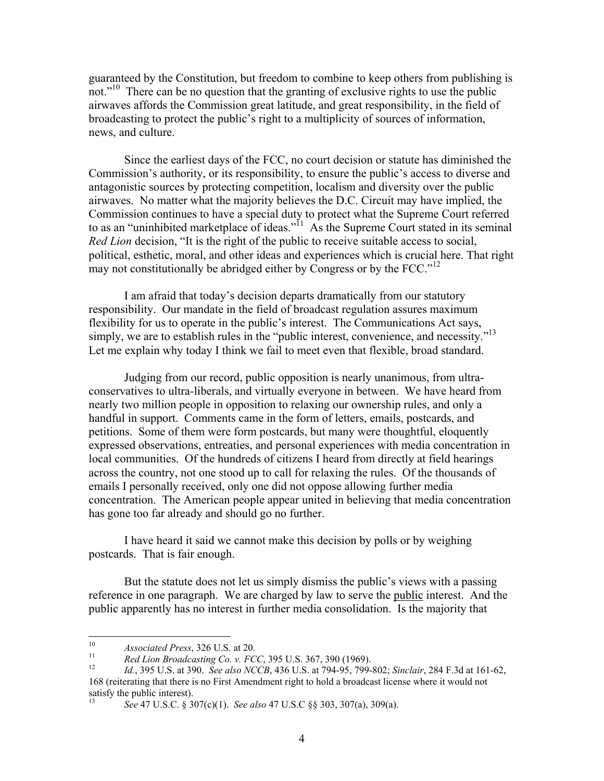guaranteed by the Constitution, but freedom to combine to keep others from publishing is not."<sup>10</sup> There can be no question that the granting of exclusive rights to use the public airwaves affords the Commission great latitude, and great responsibility, in the field of broadcasting to protect the public's right to a multiplicity of sources of information, news, and culture.

Since the earliest days of the FCC, no court decision or statute has diminished the Commission's authority, or its responsibility, to ensure the public's access to diverse and antagonistic sources by protecting competition, localism and diversity over the public airwaves. No matter what the majority believes the D.C. Circuit may have implied, the Commission continues to have a special duty to protect what the Supreme Court referred to as an "uninhibited marketplace of ideas."<sup>11</sup> As the Supreme Court stated in its seminal *Red Lion* decision, "It is the right of the public to receive suitable access to social, political, esthetic, moral, and other ideas and experiences which is crucial here. That right may not constitutionally be abridged either by Congress or by the FCC."<sup>12</sup>

I am afraid that today's decision departs dramatically from our statutory responsibility. Our mandate in the field of broadcast regulation assures maximum flexibility for us to operate in the public's interest. The Communications Act says, simply, we are to establish rules in the "public interest, convenience, and necessity."<sup>13</sup> Let me explain why today I think we fail to meet even that flexible, broad standard.

Judging from our record, public opposition is nearly unanimous, from ultraconservatives to ultra-liberals, and virtually everyone in between. We have heard from nearly two million people in opposition to relaxing our ownership rules, and only a handful in support. Comments came in the form of letters, emails, postcards, and petitions. Some of them were form postcards, but many were thoughtful, eloquently expressed observations, entreaties, and personal experiences with media concentration in local communities. Of the hundreds of citizens I heard from directly at field hearings across the country, not one stood up to call for relaxing the rules. Of the thousands of emails I personally received, only one did not oppose allowing further media concentration. The American people appear united in believing that media concentration has gone too far already and should go no further.

I have heard it said we cannot make this decision by polls or by weighing postcards. That is fair enough.

But the statute does not let us simply dismiss the public's views with a passing reference in one paragraph. We are charged by law to serve the public interest. And the public apparently has no interest in further media consolidation. Is the majority that

 $10<sup>10</sup>$ 

<sup>&</sup>lt;sup>10</sup><br>Associated Press, 326 U.S. at 20.<br><sup>11</sup> Red Lion Broadcasting Co. v. FCC, 395 U.S. 367, 390 (1969).<br><sup>12</sup> Id., 395 U.S. at 390. See also NCCB, 436 U.S. at 794-95, 799-802; Sinclair, 284 F.3d at 161-62, 168 (reiterating that there is no First Amendment right to hold a broadcast license where it would not satisfy the public interest).

<sup>13</sup> *See* 47 U.S.C. § 307(c)(1). *See also* 47 U.S.C §§ 303, 307(a), 309(a).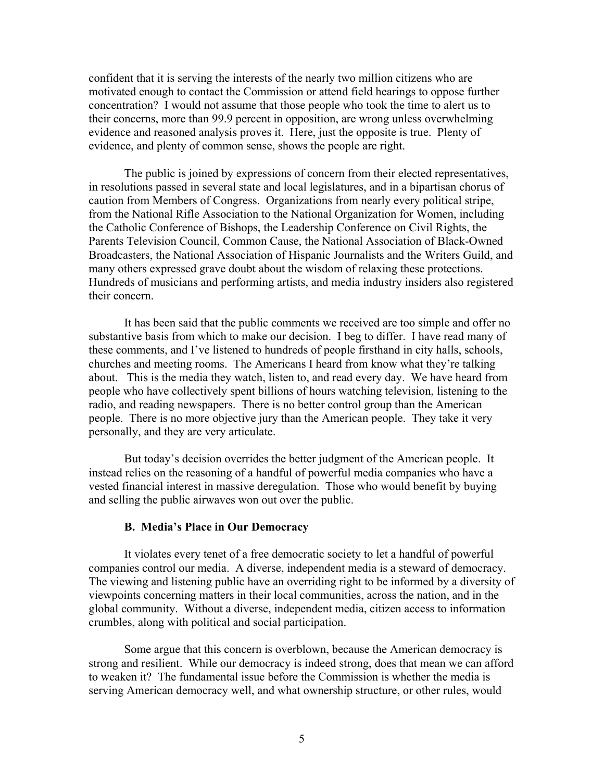confident that it is serving the interests of the nearly two million citizens who are motivated enough to contact the Commission or attend field hearings to oppose further concentration? I would not assume that those people who took the time to alert us to their concerns, more than 99.9 percent in opposition, are wrong unless overwhelming evidence and reasoned analysis proves it. Here, just the opposite is true. Plenty of evidence, and plenty of common sense, shows the people are right.

The public is joined by expressions of concern from their elected representatives, in resolutions passed in several state and local legislatures, and in a bipartisan chorus of caution from Members of Congress. Organizations from nearly every political stripe, from the National Rifle Association to the National Organization for Women, including the Catholic Conference of Bishops, the Leadership Conference on Civil Rights, the Parents Television Council, Common Cause, the National Association of Black-Owned Broadcasters, the National Association of Hispanic Journalists and the Writers Guild, and many others expressed grave doubt about the wisdom of relaxing these protections. Hundreds of musicians and performing artists, and media industry insiders also registered their concern.

It has been said that the public comments we received are too simple and offer no substantive basis from which to make our decision. I beg to differ. I have read many of these comments, and I've listened to hundreds of people firsthand in city halls, schools, churches and meeting rooms. The Americans I heard from know what they're talking about. This is the media they watch, listen to, and read every day. We have heard from people who have collectively spent billions of hours watching television, listening to the radio, and reading newspapers. There is no better control group than the American people. There is no more objective jury than the American people. They take it very personally, and they are very articulate.

But today's decision overrides the better judgment of the American people. It instead relies on the reasoning of a handful of powerful media companies who have a vested financial interest in massive deregulation. Those who would benefit by buying and selling the public airwaves won out over the public.

#### **B. Media's Place in Our Democracy**

It violates every tenet of a free democratic society to let a handful of powerful companies control our media. A diverse, independent media is a steward of democracy. The viewing and listening public have an overriding right to be informed by a diversity of viewpoints concerning matters in their local communities, across the nation, and in the global community. Without a diverse, independent media, citizen access to information crumbles, along with political and social participation.

Some argue that this concern is overblown, because the American democracy is strong and resilient. While our democracy is indeed strong, does that mean we can afford to weaken it? The fundamental issue before the Commission is whether the media is serving American democracy well, and what ownership structure, or other rules, would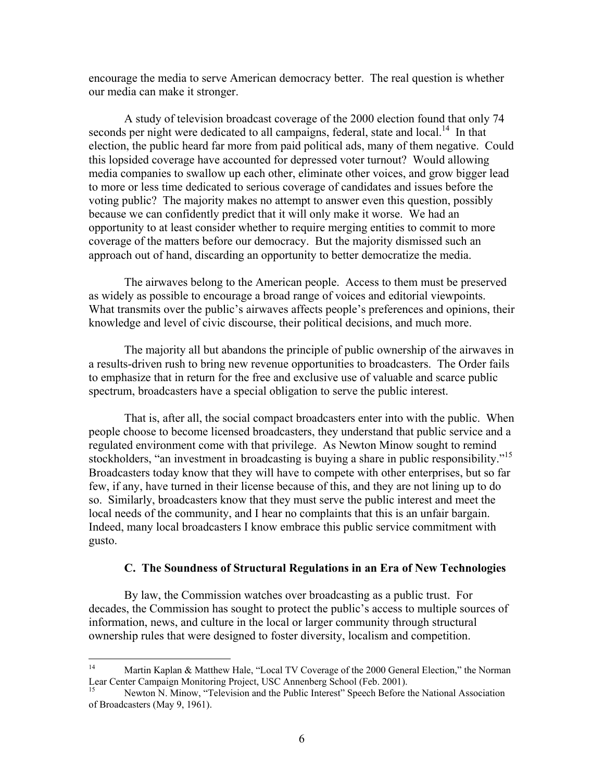encourage the media to serve American democracy better. The real question is whether our media can make it stronger.

A study of television broadcast coverage of the 2000 election found that only 74 seconds per night were dedicated to all campaigns, federal, state and local.<sup>14</sup> In that election, the public heard far more from paid political ads, many of them negative. Could this lopsided coverage have accounted for depressed voter turnout? Would allowing media companies to swallow up each other, eliminate other voices, and grow bigger lead to more or less time dedicated to serious coverage of candidates and issues before the voting public? The majority makes no attempt to answer even this question, possibly because we can confidently predict that it will only make it worse. We had an opportunity to at least consider whether to require merging entities to commit to more coverage of the matters before our democracy. But the majority dismissed such an approach out of hand, discarding an opportunity to better democratize the media.

The airwaves belong to the American people. Access to them must be preserved as widely as possible to encourage a broad range of voices and editorial viewpoints. What transmits over the public's airwaves affects people's preferences and opinions, their knowledge and level of civic discourse, their political decisions, and much more.

The majority all but abandons the principle of public ownership of the airwaves in a results-driven rush to bring new revenue opportunities to broadcasters. The Order fails to emphasize that in return for the free and exclusive use of valuable and scarce public spectrum, broadcasters have a special obligation to serve the public interest.

That is, after all, the social compact broadcasters enter into with the public. When people choose to become licensed broadcasters, they understand that public service and a regulated environment come with that privilege. As Newton Minow sought to remind stockholders, "an investment in broadcasting is buying a share in public responsibility."<sup>15</sup> Broadcasters today know that they will have to compete with other enterprises, but so far few, if any, have turned in their license because of this, and they are not lining up to do so. Similarly, broadcasters know that they must serve the public interest and meet the local needs of the community, and I hear no complaints that this is an unfair bargain. Indeed, many local broadcasters I know embrace this public service commitment with gusto.

## **C. The Soundness of Structural Regulations in an Era of New Technologies**

By law, the Commission watches over broadcasting as a public trust. For decades, the Commission has sought to protect the public's access to multiple sources of information, news, and culture in the local or larger community through structural ownership rules that were designed to foster diversity, localism and competition.

 $14<sup>1</sup>$ Martin Kaplan & Matthew Hale, "Local TV Coverage of the 2000 General Election," the Norman Lear Center Campaign Monitoring Project, USC Annenberg School (Feb. 2001).

<sup>15</sup> Newton N. Minow, "Television and the Public Interest" Speech Before the National Association of Broadcasters (May 9, 1961).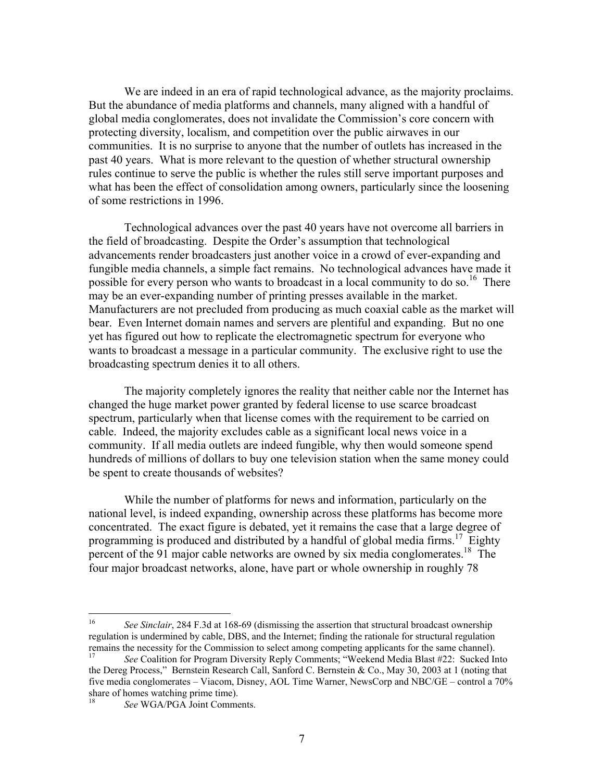We are indeed in an era of rapid technological advance, as the majority proclaims. But the abundance of media platforms and channels, many aligned with a handful of global media conglomerates, does not invalidate the Commission's core concern with protecting diversity, localism, and competition over the public airwaves in our communities. It is no surprise to anyone that the number of outlets has increased in the past 40 years. What is more relevant to the question of whether structural ownership rules continue to serve the public is whether the rules still serve important purposes and what has been the effect of consolidation among owners, particularly since the loosening of some restrictions in 1996.

Technological advances over the past 40 years have not overcome all barriers in the field of broadcasting. Despite the Order's assumption that technological advancements render broadcasters just another voice in a crowd of ever-expanding and fungible media channels, a simple fact remains. No technological advances have made it possible for every person who wants to broadcast in a local community to do so.<sup>16</sup> There may be an ever-expanding number of printing presses available in the market. Manufacturers are not precluded from producing as much coaxial cable as the market will bear. Even Internet domain names and servers are plentiful and expanding. But no one yet has figured out how to replicate the electromagnetic spectrum for everyone who wants to broadcast a message in a particular community. The exclusive right to use the broadcasting spectrum denies it to all others.

The majority completely ignores the reality that neither cable nor the Internet has changed the huge market power granted by federal license to use scarce broadcast spectrum, particularly when that license comes with the requirement to be carried on cable. Indeed, the majority excludes cable as a significant local news voice in a community. If all media outlets are indeed fungible, why then would someone spend hundreds of millions of dollars to buy one television station when the same money could be spent to create thousands of websites?

While the number of platforms for news and information, particularly on the national level, is indeed expanding, ownership across these platforms has become more concentrated. The exact figure is debated, yet it remains the case that a large degree of programming is produced and distributed by a handful of global media firms.<sup>17</sup> Eighty percent of the 91 major cable networks are owned by six media conglomerates.<sup>18</sup> The four major broadcast networks, alone, have part or whole ownership in roughly 78

<sup>16</sup> 16 *See Sinclair*, 284 F.3d at 168-69 (dismissing the assertion that structural broadcast ownership regulation is undermined by cable, DBS, and the Internet; finding the rationale for structural regulation remains the necessity for the Commission to select among competing applicants for the same channel).

<sup>17</sup> *See* Coalition for Program Diversity Reply Comments; "Weekend Media Blast #22: Sucked Into the Dereg Process," Bernstein Research Call, Sanford C. Bernstein & Co., May 30, 2003 at 1 (noting that five media conglomerates – Viacom, Disney, AOL Time Warner, NewsCorp and NBC/GE – control a 70% share of homes watching prime time).

See WGA/PGA Joint Comments.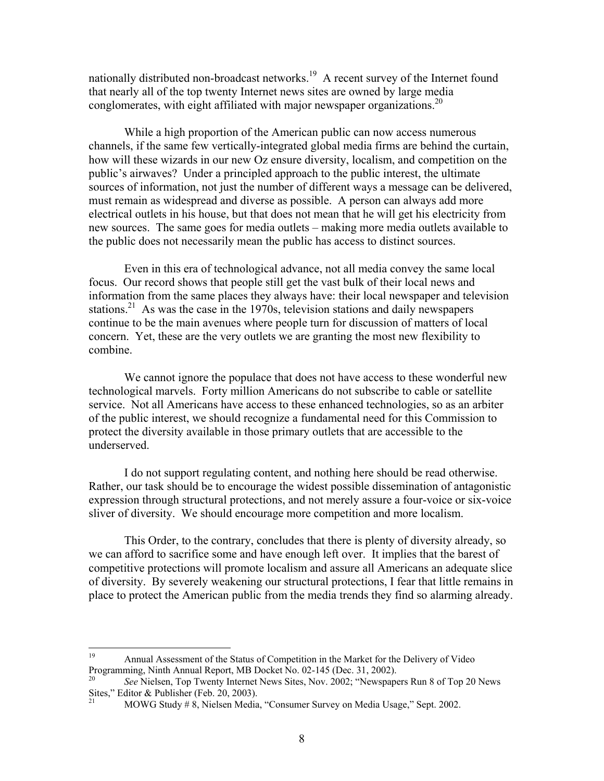nationally distributed non-broadcast networks.<sup>19</sup> A recent survey of the Internet found that nearly all of the top twenty Internet news sites are owned by large media conglomerates, with eight affiliated with major newspaper organizations.<sup>20</sup>

While a high proportion of the American public can now access numerous channels, if the same few vertically-integrated global media firms are behind the curtain, how will these wizards in our new Oz ensure diversity, localism, and competition on the public's airwaves? Under a principled approach to the public interest, the ultimate sources of information, not just the number of different ways a message can be delivered, must remain as widespread and diverse as possible. A person can always add more electrical outlets in his house, but that does not mean that he will get his electricity from new sources. The same goes for media outlets – making more media outlets available to the public does not necessarily mean the public has access to distinct sources.

Even in this era of technological advance, not all media convey the same local focus. Our record shows that people still get the vast bulk of their local news and information from the same places they always have: their local newspaper and television stations.<sup>21</sup> As was the case in the 1970s, television stations and daily newspapers continue to be the main avenues where people turn for discussion of matters of local concern. Yet, these are the very outlets we are granting the most new flexibility to combine.

We cannot ignore the populace that does not have access to these wonderful new technological marvels. Forty million Americans do not subscribe to cable or satellite service. Not all Americans have access to these enhanced technologies, so as an arbiter of the public interest, we should recognize a fundamental need for this Commission to protect the diversity available in those primary outlets that are accessible to the underserved.

I do not support regulating content, and nothing here should be read otherwise. Rather, our task should be to encourage the widest possible dissemination of antagonistic expression through structural protections, and not merely assure a four-voice or six-voice sliver of diversity. We should encourage more competition and more localism.

This Order, to the contrary, concludes that there is plenty of diversity already, so we can afford to sacrifice some and have enough left over. It implies that the barest of competitive protections will promote localism and assure all Americans an adequate slice of diversity. By severely weakening our structural protections, I fear that little remains in place to protect the American public from the media trends they find so alarming already.

<sup>19</sup> 19 Annual Assessment of the Status of Competition in the Market for the Delivery of Video Programming, Ninth Annual Report, MB Docket No. 02-145 (Dec. 31, 2002).

<sup>20</sup> *See* Nielsen, Top Twenty Internet News Sites, Nov. 2002; "Newspapers Run 8 of Top 20 News Sites," Editor & Publisher (Feb. 20, 2003).

<sup>21</sup> MOWG Study # 8, Nielsen Media, "Consumer Survey on Media Usage," Sept. 2002.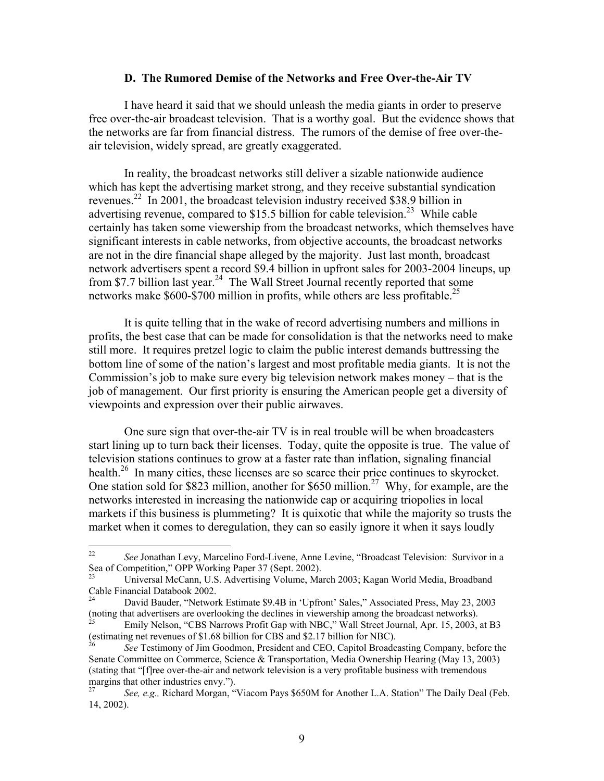#### **D. The Rumored Demise of the Networks and Free Over-the-Air TV**

I have heard it said that we should unleash the media giants in order to preserve free over-the-air broadcast television. That is a worthy goal. But the evidence shows that the networks are far from financial distress. The rumors of the demise of free over-theair television, widely spread, are greatly exaggerated.

In reality, the broadcast networks still deliver a sizable nationwide audience which has kept the advertising market strong, and they receive substantial syndication revenues.<sup>22</sup> In 2001, the broadcast television industry received \$38.9 billion in advertising revenue, compared to  $$15.5$  billion for cable television.<sup>23</sup> While cable certainly has taken some viewership from the broadcast networks, which themselves have significant interests in cable networks, from objective accounts, the broadcast networks are not in the dire financial shape alleged by the majority. Just last month, broadcast network advertisers spent a record \$9.4 billion in upfront sales for 2003-2004 lineups, up from \$7.7 billion last year.<sup>24</sup> The Wall Street Journal recently reported that some networks make  $$600-$700$  million in profits, while others are less profitable.<sup>25</sup>

It is quite telling that in the wake of record advertising numbers and millions in profits, the best case that can be made for consolidation is that the networks need to make still more. It requires pretzel logic to claim the public interest demands buttressing the bottom line of some of the nation's largest and most profitable media giants. It is not the Commission's job to make sure every big television network makes money – that is the job of management. Our first priority is ensuring the American people get a diversity of viewpoints and expression over their public airwaves.

One sure sign that over-the-air TV is in real trouble will be when broadcasters start lining up to turn back their licenses. Today, quite the opposite is true. The value of television stations continues to grow at a faster rate than inflation, signaling financial health.<sup>26</sup> In many cities, these licenses are so scarce their price continues to skyrocket. One station sold for \$823 million, another for \$650 million.<sup>27</sup> Why, for example, are the networks interested in increasing the nationwide cap or acquiring triopolies in local markets if this business is plummeting? It is quixotic that while the majority so trusts the market when it comes to deregulation, they can so easily ignore it when it says loudly

<sup>22</sup> 22 *See* Jonathan Levy, Marcelino Ford-Livene, Anne Levine, "Broadcast Television: Survivor in a Sea of Competition," OPP Working Paper 37 (Sept. 2002).

<sup>23</sup> Universal McCann, U.S. Advertising Volume, March 2003; Kagan World Media, Broadband Cable Financial Databook 2002.

<sup>24</sup> David Bauder, "Network Estimate \$9.4B in 'Upfront' Sales," Associated Press, May 23, 2003 (noting that advertisers are overlooking the declines in viewership among the broadcast networks).<br><sup>25</sup> Emily Nelson, "CBS Narrows Profit Gap with NBC," Wall Street Journal, Apr. 15, 2003, at B3

<sup>(</sup>estimating net revenues of \$1.68 billion for CBS and \$2.17 billion for NBC).

<sup>26</sup> *See* Testimony of Jim Goodmon, President and CEO, Capitol Broadcasting Company, before the Senate Committee on Commerce, Science & Transportation, Media Ownership Hearing (May 13, 2003) (stating that "[f]ree over-the-air and network television is a very profitable business with tremendous margins that other industries envy.").<br> $\frac{27}{4}$  See e.g. Richard Morgan."

<sup>27</sup> *See, e.g.,* Richard Morgan, "Viacom Pays \$650M for Another L.A. Station" The Daily Deal (Feb. 14, 2002).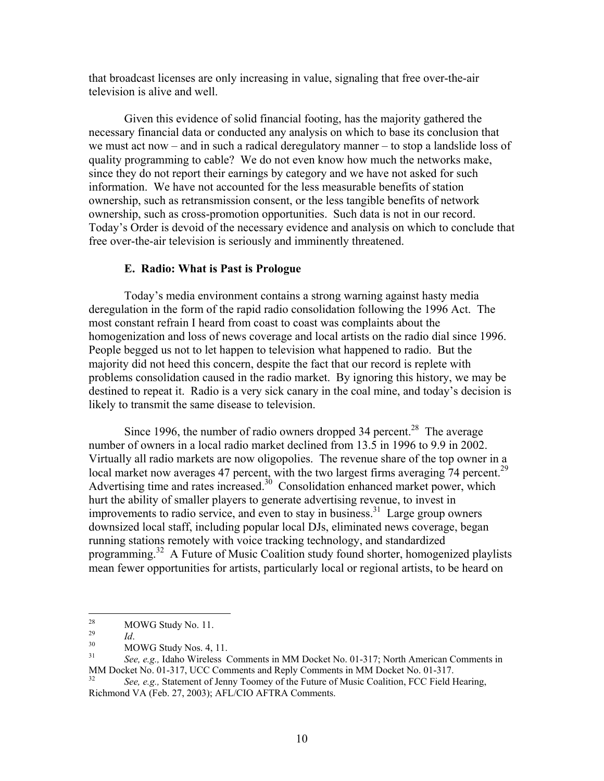that broadcast licenses are only increasing in value, signaling that free over-the-air television is alive and well.

Given this evidence of solid financial footing, has the majority gathered the necessary financial data or conducted any analysis on which to base its conclusion that we must act now – and in such a radical deregulatory manner – to stop a landslide loss of quality programming to cable? We do not even know how much the networks make, since they do not report their earnings by category and we have not asked for such information. We have not accounted for the less measurable benefits of station ownership, such as retransmission consent, or the less tangible benefits of network ownership, such as cross-promotion opportunities. Such data is not in our record. Today's Order is devoid of the necessary evidence and analysis on which to conclude that free over-the-air television is seriously and imminently threatened.

## **E. Radio: What is Past is Prologue**

Today's media environment contains a strong warning against hasty media deregulation in the form of the rapid radio consolidation following the 1996 Act. The most constant refrain I heard from coast to coast was complaints about the homogenization and loss of news coverage and local artists on the radio dial since 1996. People begged us not to let happen to television what happened to radio. But the majority did not heed this concern, despite the fact that our record is replete with problems consolidation caused in the radio market. By ignoring this history, we may be destined to repeat it. Radio is a very sick canary in the coal mine, and today's decision is likely to transmit the same disease to television.

Since 1996, the number of radio owners dropped 34 percent.<sup>28</sup> The average number of owners in a local radio market declined from 13.5 in 1996 to 9.9 in 2002. Virtually all radio markets are now oligopolies. The revenue share of the top owner in a local market now averages 47 percent, with the two largest firms averaging 74 percent.<sup>29</sup> Advertising time and rates increased. $30\degree$  Consolidation enhanced market power, which hurt the ability of smaller players to generate advertising revenue, to invest in improvements to radio service, and even to stay in business.<sup>31</sup> Large group owners downsized local staff, including popular local DJs, eliminated news coverage, began running stations remotely with voice tracking technology, and standardized programming.32 A Future of Music Coalition study found shorter, homogenized playlists mean fewer opportunities for artists, particularly local or regional artists, to be heard on

<sup>28</sup>  $\frac{28}{29}$  MOWG Study No. 11.

<sup>&</sup>lt;sup>29</sup> *Id.*<br><sup>30</sup> MOWG Study Nos. 4, 11.<br><sup>31</sup> See e.g. John Wireless G

See, e.g., Idaho Wireless Comments in MM Docket No. 01-317; North American Comments in MM Docket No. 01-317, UCC Comments and Reply Comments in MM Docket No. 01-317.<br><sup>32</sup> *See, e.g.*, Statement of Jenny Toomey of the Future of Music Coalition, FCC Field Hearing,

Richmond VA (Feb. 27, 2003); AFL/CIO AFTRA Comments.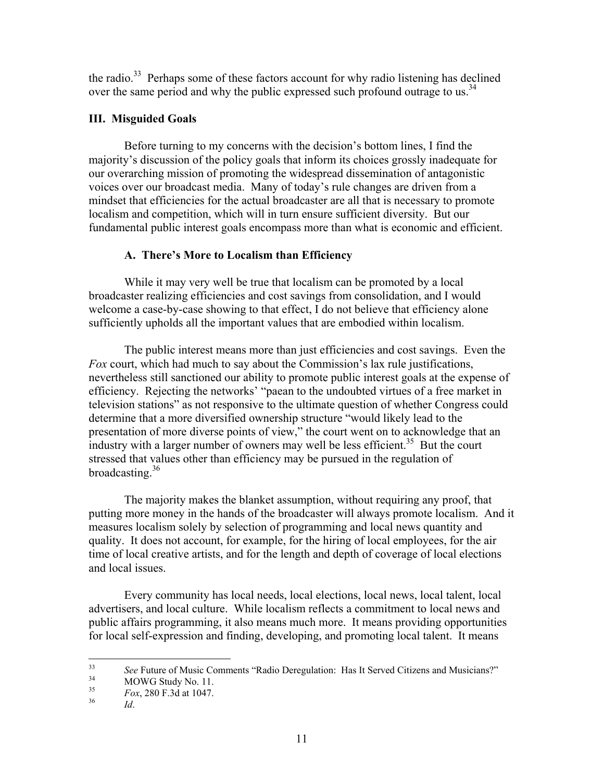the radio.<sup>33</sup> Perhaps some of these factors account for why radio listening has declined over the same period and why the public expressed such profound outrage to us.<sup>34</sup>

# **III. Misguided Goals**

 Before turning to my concerns with the decision's bottom lines, I find the majority's discussion of the policy goals that inform its choices grossly inadequate for our overarching mission of promoting the widespread dissemination of antagonistic voices over our broadcast media. Many of today's rule changes are driven from a mindset that efficiencies for the actual broadcaster are all that is necessary to promote localism and competition, which will in turn ensure sufficient diversity. But our fundamental public interest goals encompass more than what is economic and efficient.

# **A. There's More to Localism than Efficiency**

While it may very well be true that localism can be promoted by a local broadcaster realizing efficiencies and cost savings from consolidation, and I would welcome a case-by-case showing to that effect, I do not believe that efficiency alone sufficiently upholds all the important values that are embodied within localism.

The public interest means more than just efficiencies and cost savings. Even the *Fox* court, which had much to say about the Commission's lax rule justifications, nevertheless still sanctioned our ability to promote public interest goals at the expense of efficiency. Rejecting the networks' "paean to the undoubted virtues of a free market in television stations" as not responsive to the ultimate question of whether Congress could determine that a more diversified ownership structure "would likely lead to the presentation of more diverse points of view," the court went on to acknowledge that an industry with a larger number of owners may well be less efficient.<sup>35</sup> But the court stressed that values other than efficiency may be pursued in the regulation of broadcasting. $36$ 

The majority makes the blanket assumption, without requiring any proof, that putting more money in the hands of the broadcaster will always promote localism. And it measures localism solely by selection of programming and local news quantity and quality. It does not account, for example, for the hiring of local employees, for the air time of local creative artists, and for the length and depth of coverage of local elections and local issues.

Every community has local needs, local elections, local news, local talent, local advertisers, and local culture. While localism reflects a commitment to local news and public affairs programming, it also means much more. It means providing opportunities for local self-expression and finding, developing, and promoting local talent. It means

 $33$ <sup>33</sup> See Future of Music Comments "Radio Deregulation: Has It Served Citizens and Musicians?"<br>MOWG Study No. 11.<br><sup>35</sup> Este 280 E 24 at 1047

<sup>35</sup>*Fox*, 280 F.3d at 1047. 36 *Id*.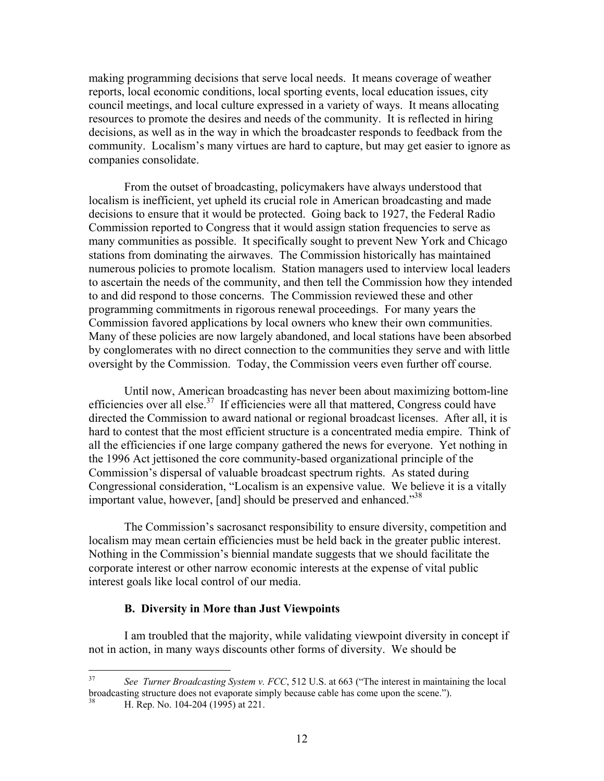making programming decisions that serve local needs. It means coverage of weather reports, local economic conditions, local sporting events, local education issues, city council meetings, and local culture expressed in a variety of ways. It means allocating resources to promote the desires and needs of the community. It is reflected in hiring decisions, as well as in the way in which the broadcaster responds to feedback from the community. Localism's many virtues are hard to capture, but may get easier to ignore as companies consolidate.

From the outset of broadcasting, policymakers have always understood that localism is inefficient, yet upheld its crucial role in American broadcasting and made decisions to ensure that it would be protected. Going back to 1927, the Federal Radio Commission reported to Congress that it would assign station frequencies to serve as many communities as possible. It specifically sought to prevent New York and Chicago stations from dominating the airwaves. The Commission historically has maintained numerous policies to promote localism. Station managers used to interview local leaders to ascertain the needs of the community, and then tell the Commission how they intended to and did respond to those concerns. The Commission reviewed these and other programming commitments in rigorous renewal proceedings. For many years the Commission favored applications by local owners who knew their own communities. Many of these policies are now largely abandoned, and local stations have been absorbed by conglomerates with no direct connection to the communities they serve and with little oversight by the Commission. Today, the Commission veers even further off course.

Until now, American broadcasting has never been about maximizing bottom-line efficiencies over all else.<sup>37</sup> If efficiencies were all that mattered, Congress could have directed the Commission to award national or regional broadcast licenses. After all, it is hard to contest that the most efficient structure is a concentrated media empire. Think of all the efficiencies if one large company gathered the news for everyone. Yet nothing in the 1996 Act jettisoned the core community-based organizational principle of the Commission's dispersal of valuable broadcast spectrum rights. As stated during Congressional consideration, "Localism is an expensive value. We believe it is a vitally important value, however, [and] should be preserved and enhanced."<sup>38</sup>

The Commission's sacrosanct responsibility to ensure diversity, competition and localism may mean certain efficiencies must be held back in the greater public interest. Nothing in the Commission's biennial mandate suggests that we should facilitate the corporate interest or other narrow economic interests at the expense of vital public interest goals like local control of our media.

### **B. Diversity in More than Just Viewpoints**

I am troubled that the majority, while validating viewpoint diversity in concept if not in action, in many ways discounts other forms of diversity. We should be

 $37$ See Turner Broadcasting System v. FCC, 512 U.S. at 663 ("The interest in maintaining the local broadcasting structure does not evaporate simply because cable has come upon the scene."). 38 H. Rep. No. 104-204 (1995) at 221.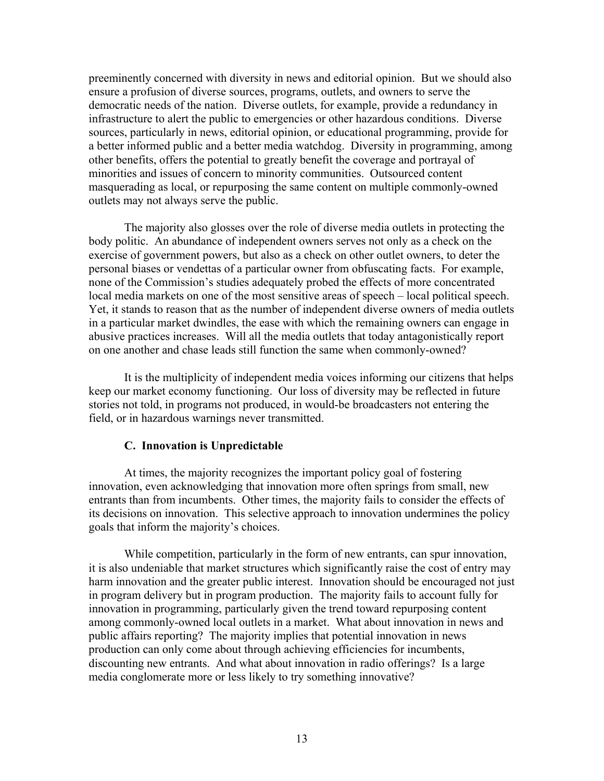preeminently concerned with diversity in news and editorial opinion. But we should also ensure a profusion of diverse sources, programs, outlets, and owners to serve the democratic needs of the nation. Diverse outlets, for example, provide a redundancy in infrastructure to alert the public to emergencies or other hazardous conditions. Diverse sources, particularly in news, editorial opinion, or educational programming, provide for a better informed public and a better media watchdog. Diversity in programming, among other benefits, offers the potential to greatly benefit the coverage and portrayal of minorities and issues of concern to minority communities. Outsourced content masquerading as local, or repurposing the same content on multiple commonly-owned outlets may not always serve the public.

The majority also glosses over the role of diverse media outlets in protecting the body politic. An abundance of independent owners serves not only as a check on the exercise of government powers, but also as a check on other outlet owners, to deter the personal biases or vendettas of a particular owner from obfuscating facts. For example, none of the Commission's studies adequately probed the effects of more concentrated local media markets on one of the most sensitive areas of speech – local political speech. Yet, it stands to reason that as the number of independent diverse owners of media outlets in a particular market dwindles, the ease with which the remaining owners can engage in abusive practices increases. Will all the media outlets that today antagonistically report on one another and chase leads still function the same when commonly-owned?

It is the multiplicity of independent media voices informing our citizens that helps keep our market economy functioning. Our loss of diversity may be reflected in future stories not told, in programs not produced, in would-be broadcasters not entering the field, or in hazardous warnings never transmitted.

### **C. Innovation is Unpredictable**

 At times, the majority recognizes the important policy goal of fostering innovation, even acknowledging that innovation more often springs from small, new entrants than from incumbents. Other times, the majority fails to consider the effects of its decisions on innovation. This selective approach to innovation undermines the policy goals that inform the majority's choices.

 While competition, particularly in the form of new entrants, can spur innovation, it is also undeniable that market structures which significantly raise the cost of entry may harm innovation and the greater public interest. Innovation should be encouraged not just in program delivery but in program production. The majority fails to account fully for innovation in programming, particularly given the trend toward repurposing content among commonly-owned local outlets in a market. What about innovation in news and public affairs reporting? The majority implies that potential innovation in news production can only come about through achieving efficiencies for incumbents, discounting new entrants. And what about innovation in radio offerings? Is a large media conglomerate more or less likely to try something innovative?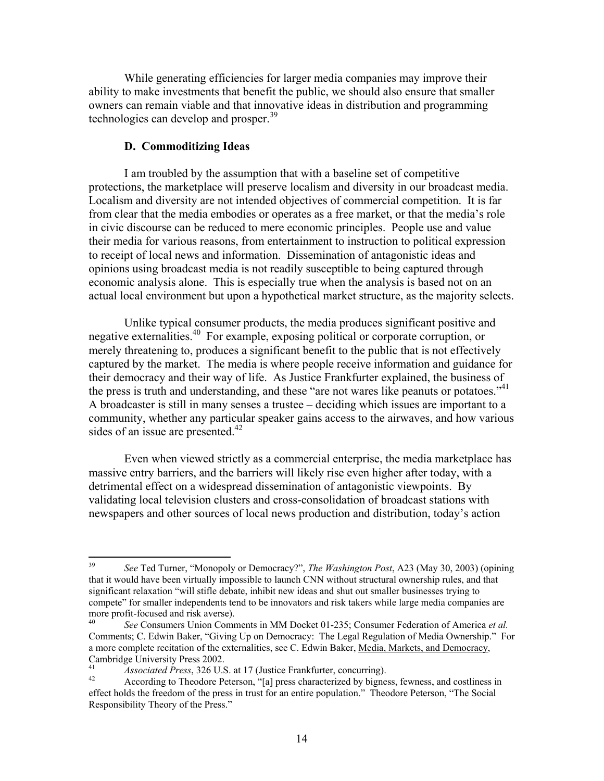While generating efficiencies for larger media companies may improve their ability to make investments that benefit the public, we should also ensure that smaller owners can remain viable and that innovative ideas in distribution and programming technologies can develop and prosper.<sup>39</sup>

# **D. Commoditizing Ideas**

I am troubled by the assumption that with a baseline set of competitive protections, the marketplace will preserve localism and diversity in our broadcast media. Localism and diversity are not intended objectives of commercial competition. It is far from clear that the media embodies or operates as a free market, or that the media's role in civic discourse can be reduced to mere economic principles. People use and value their media for various reasons, from entertainment to instruction to political expression to receipt of local news and information. Dissemination of antagonistic ideas and opinions using broadcast media is not readily susceptible to being captured through economic analysis alone. This is especially true when the analysis is based not on an actual local environment but upon a hypothetical market structure, as the majority selects.

Unlike typical consumer products, the media produces significant positive and negative externalities.40 For example, exposing political or corporate corruption, or merely threatening to, produces a significant benefit to the public that is not effectively captured by the market. The media is where people receive information and guidance for their democracy and their way of life. As Justice Frankfurter explained, the business of the press is truth and understanding, and these "are not wares like peanuts or potatoes."<sup>41</sup> A broadcaster is still in many senses a trustee – deciding which issues are important to a community, whether any particular speaker gains access to the airwaves, and how various sides of an issue are presented. $42$ 

Even when viewed strictly as a commercial enterprise, the media marketplace has massive entry barriers, and the barriers will likely rise even higher after today, with a detrimental effect on a widespread dissemination of antagonistic viewpoints. By validating local television clusters and cross-consolidation of broadcast stations with newspapers and other sources of local news production and distribution, today's action

<sup>39</sup> 39 *See* Ted Turner, "Monopoly or Democracy?", *The Washington Post*, A23 (May 30, 2003) (opining that it would have been virtually impossible to launch CNN without structural ownership rules, and that significant relaxation "will stifle debate, inhibit new ideas and shut out smaller businesses trying to compete" for smaller independents tend to be innovators and risk takers while large media companies are more profit-focused and risk averse).

<sup>40</sup> *See* Consumers Union Comments in MM Docket 01-235; Consumer Federation of America *et al.* Comments; C. Edwin Baker, "Giving Up on Democracy: The Legal Regulation of Media Ownership." For a more complete recitation of the externalities, see C. Edwin Baker, Media, Markets, and Democracy, Cambridge University Press 2002.

<sup>&</sup>lt;sup>41</sup> *Associated Press*, 326 U.S. at 17 (Justice Frankfurter, concurring).<br><sup>42</sup> According to Theodore Peterson, "[a] press characterized by bigness, fewness, and costliness in effect holds the freedom of the press in trust for an entire population." Theodore Peterson, "The Social Responsibility Theory of the Press."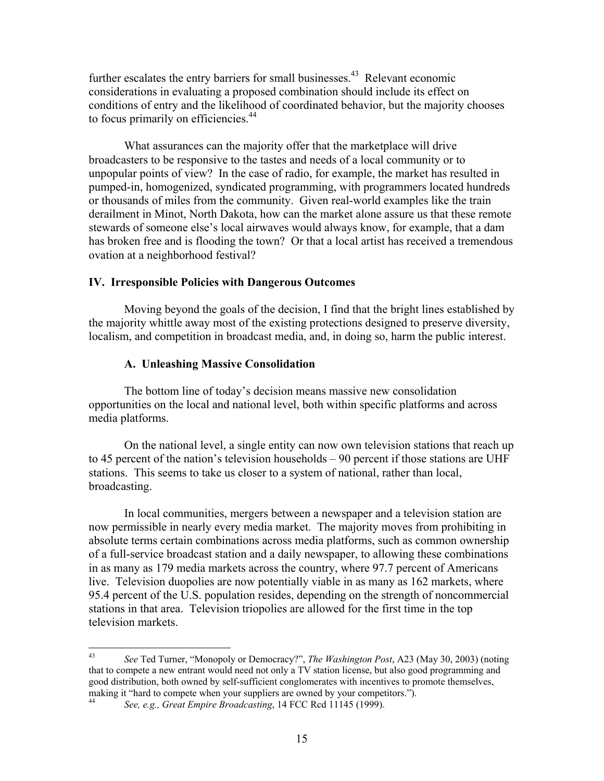further escalates the entry barriers for small businesses.<sup>43</sup> Relevant economic considerations in evaluating a proposed combination should include its effect on conditions of entry and the likelihood of coordinated behavior, but the majority chooses to focus primarily on efficiencies.<sup>44</sup>

What assurances can the majority offer that the marketplace will drive broadcasters to be responsive to the tastes and needs of a local community or to unpopular points of view? In the case of radio, for example, the market has resulted in pumped-in, homogenized, syndicated programming, with programmers located hundreds or thousands of miles from the community. Given real-world examples like the train derailment in Minot, North Dakota, how can the market alone assure us that these remote stewards of someone else's local airwaves would always know, for example, that a dam has broken free and is flooding the town? Or that a local artist has received a tremendous ovation at a neighborhood festival?

### **IV. Irresponsible Policies with Dangerous Outcomes**

Moving beyond the goals of the decision, I find that the bright lines established by the majority whittle away most of the existing protections designed to preserve diversity, localism, and competition in broadcast media, and, in doing so, harm the public interest.

## **A. Unleashing Massive Consolidation**

The bottom line of today's decision means massive new consolidation opportunities on the local and national level, both within specific platforms and across media platforms.

On the national level, a single entity can now own television stations that reach up to 45 percent of the nation's television households – 90 percent if those stations are UHF stations. This seems to take us closer to a system of national, rather than local, broadcasting.

In local communities, mergers between a newspaper and a television station are now permissible in nearly every media market. The majority moves from prohibiting in absolute terms certain combinations across media platforms, such as common ownership of a full-service broadcast station and a daily newspaper, to allowing these combinations in as many as 179 media markets across the country, where 97.7 percent of Americans live. Television duopolies are now potentially viable in as many as 162 markets, where 95.4 percent of the U.S. population resides, depending on the strength of noncommercial stations in that area. Television triopolies are allowed for the first time in the top television markets.

<sup>43</sup> 43 *See* Ted Turner, "Monopoly or Democracy?", *The Washington Post*, A23 (May 30, 2003) (noting that to compete a new entrant would need not only a TV station license, but also good programming and good distribution, both owned by self-sufficient conglomerates with incentives to promote themselves, making it "hard to compete when your suppliers are owned by your competitors.").

<sup>44</sup> *See, e.g., Great Empire Broadcasting*, 14 FCC Rcd 11145 (1999).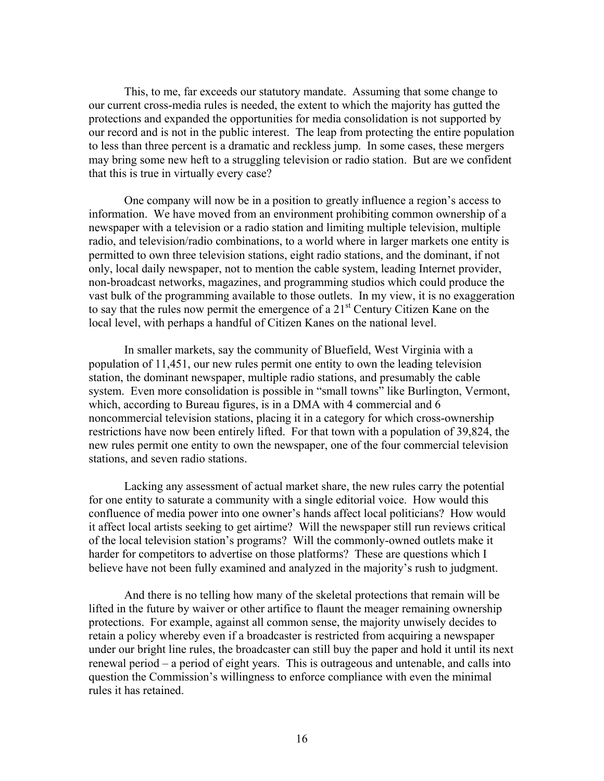This, to me, far exceeds our statutory mandate. Assuming that some change to our current cross-media rules is needed, the extent to which the majority has gutted the protections and expanded the opportunities for media consolidation is not supported by our record and is not in the public interest. The leap from protecting the entire population to less than three percent is a dramatic and reckless jump. In some cases, these mergers may bring some new heft to a struggling television or radio station. But are we confident that this is true in virtually every case?

One company will now be in a position to greatly influence a region's access to information. We have moved from an environment prohibiting common ownership of a newspaper with a television or a radio station and limiting multiple television, multiple radio, and television/radio combinations, to a world where in larger markets one entity is permitted to own three television stations, eight radio stations, and the dominant, if not only, local daily newspaper, not to mention the cable system, leading Internet provider, non-broadcast networks, magazines, and programming studios which could produce the vast bulk of the programming available to those outlets. In my view, it is no exaggeration to say that the rules now permit the emergence of a  $21<sup>st</sup>$  Century Citizen Kane on the local level, with perhaps a handful of Citizen Kanes on the national level.

In smaller markets, say the community of Bluefield, West Virginia with a population of 11,451, our new rules permit one entity to own the leading television station, the dominant newspaper, multiple radio stations, and presumably the cable system. Even more consolidation is possible in "small towns" like Burlington, Vermont, which, according to Bureau figures, is in a DMA with 4 commercial and 6 noncommercial television stations, placing it in a category for which cross-ownership restrictions have now been entirely lifted. For that town with a population of 39,824, the new rules permit one entity to own the newspaper, one of the four commercial television stations, and seven radio stations.

Lacking any assessment of actual market share, the new rules carry the potential for one entity to saturate a community with a single editorial voice. How would this confluence of media power into one owner's hands affect local politicians? How would it affect local artists seeking to get airtime? Will the newspaper still run reviews critical of the local television station's programs? Will the commonly-owned outlets make it harder for competitors to advertise on those platforms? These are questions which I believe have not been fully examined and analyzed in the majority's rush to judgment.

And there is no telling how many of the skeletal protections that remain will be lifted in the future by waiver or other artifice to flaunt the meager remaining ownership protections. For example, against all common sense, the majority unwisely decides to retain a policy whereby even if a broadcaster is restricted from acquiring a newspaper under our bright line rules, the broadcaster can still buy the paper and hold it until its next renewal period – a period of eight years. This is outrageous and untenable, and calls into question the Commission's willingness to enforce compliance with even the minimal rules it has retained.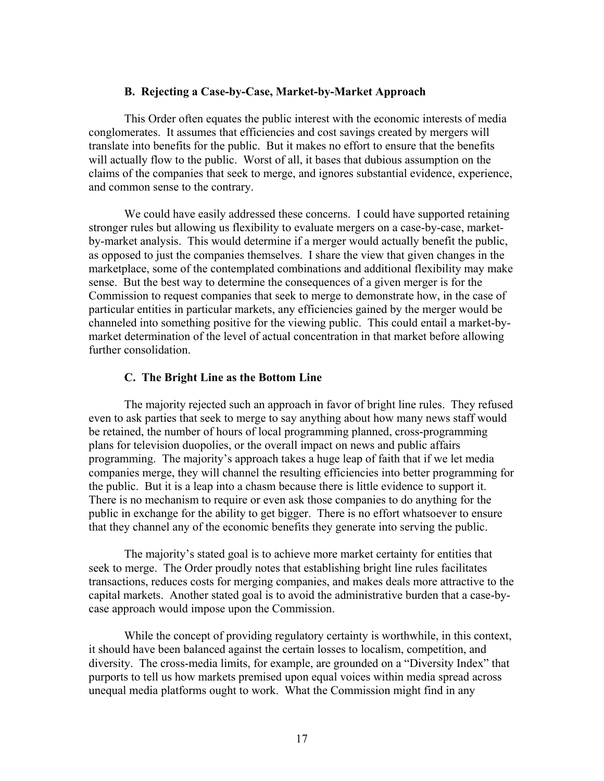## **B. Rejecting a Case-by-Case, Market-by-Market Approach**

This Order often equates the public interest with the economic interests of media conglomerates. It assumes that efficiencies and cost savings created by mergers will translate into benefits for the public. But it makes no effort to ensure that the benefits will actually flow to the public. Worst of all, it bases that dubious assumption on the claims of the companies that seek to merge, and ignores substantial evidence, experience, and common sense to the contrary.

We could have easily addressed these concerns. I could have supported retaining stronger rules but allowing us flexibility to evaluate mergers on a case-by-case, marketby-market analysis. This would determine if a merger would actually benefit the public, as opposed to just the companies themselves. I share the view that given changes in the marketplace, some of the contemplated combinations and additional flexibility may make sense. But the best way to determine the consequences of a given merger is for the Commission to request companies that seek to merge to demonstrate how, in the case of particular entities in particular markets, any efficiencies gained by the merger would be channeled into something positive for the viewing public. This could entail a market-bymarket determination of the level of actual concentration in that market before allowing further consolidation.

# **C. The Bright Line as the Bottom Line**

The majority rejected such an approach in favor of bright line rules. They refused even to ask parties that seek to merge to say anything about how many news staff would be retained, the number of hours of local programming planned, cross-programming plans for television duopolies, or the overall impact on news and public affairs programming. The majority's approach takes a huge leap of faith that if we let media companies merge, they will channel the resulting efficiencies into better programming for the public. But it is a leap into a chasm because there is little evidence to support it. There is no mechanism to require or even ask those companies to do anything for the public in exchange for the ability to get bigger. There is no effort whatsoever to ensure that they channel any of the economic benefits they generate into serving the public.

The majority's stated goal is to achieve more market certainty for entities that seek to merge. The Order proudly notes that establishing bright line rules facilitates transactions, reduces costs for merging companies, and makes deals more attractive to the capital markets. Another stated goal is to avoid the administrative burden that a case-bycase approach would impose upon the Commission.

While the concept of providing regulatory certainty is worthwhile, in this context, it should have been balanced against the certain losses to localism, competition, and diversity. The cross-media limits, for example, are grounded on a "Diversity Index" that purports to tell us how markets premised upon equal voices within media spread across unequal media platforms ought to work. What the Commission might find in any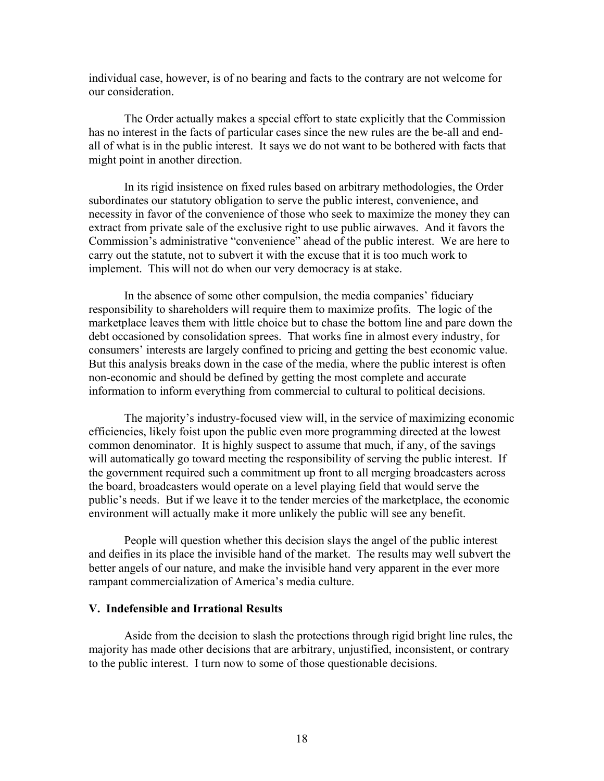individual case, however, is of no bearing and facts to the contrary are not welcome for our consideration.

The Order actually makes a special effort to state explicitly that the Commission has no interest in the facts of particular cases since the new rules are the be-all and endall of what is in the public interest. It says we do not want to be bothered with facts that might point in another direction.

In its rigid insistence on fixed rules based on arbitrary methodologies, the Order subordinates our statutory obligation to serve the public interest, convenience, and necessity in favor of the convenience of those who seek to maximize the money they can extract from private sale of the exclusive right to use public airwaves. And it favors the Commission's administrative "convenience" ahead of the public interest. We are here to carry out the statute, not to subvert it with the excuse that it is too much work to implement. This will not do when our very democracy is at stake.

In the absence of some other compulsion, the media companies' fiduciary responsibility to shareholders will require them to maximize profits. The logic of the marketplace leaves them with little choice but to chase the bottom line and pare down the debt occasioned by consolidation sprees. That works fine in almost every industry, for consumers' interests are largely confined to pricing and getting the best economic value. But this analysis breaks down in the case of the media, where the public interest is often non-economic and should be defined by getting the most complete and accurate information to inform everything from commercial to cultural to political decisions.

The majority's industry-focused view will, in the service of maximizing economic efficiencies, likely foist upon the public even more programming directed at the lowest common denominator. It is highly suspect to assume that much, if any, of the savings will automatically go toward meeting the responsibility of serving the public interest. If the government required such a commitment up front to all merging broadcasters across the board, broadcasters would operate on a level playing field that would serve the public's needs. But if we leave it to the tender mercies of the marketplace, the economic environment will actually make it more unlikely the public will see any benefit.

People will question whether this decision slays the angel of the public interest and deifies in its place the invisible hand of the market. The results may well subvert the better angels of our nature, and make the invisible hand very apparent in the ever more rampant commercialization of America's media culture.

# **V. Indefensible and Irrational Results**

 Aside from the decision to slash the protections through rigid bright line rules, the majority has made other decisions that are arbitrary, unjustified, inconsistent, or contrary to the public interest. I turn now to some of those questionable decisions.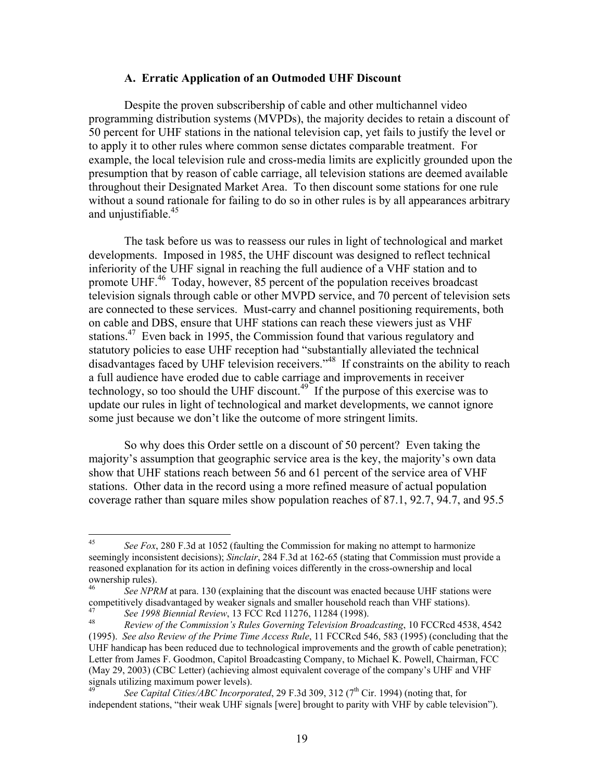### **A. Erratic Application of an Outmoded UHF Discount**

Despite the proven subscribership of cable and other multichannel video programming distribution systems (MVPDs), the majority decides to retain a discount of 50 percent for UHF stations in the national television cap, yet fails to justify the level or to apply it to other rules where common sense dictates comparable treatment. For example, the local television rule and cross-media limits are explicitly grounded upon the presumption that by reason of cable carriage, all television stations are deemed available throughout their Designated Market Area. To then discount some stations for one rule without a sound rationale for failing to do so in other rules is by all appearances arbitrary and unjustifiable.<sup>45</sup>

The task before us was to reassess our rules in light of technological and market developments. Imposed in 1985, the UHF discount was designed to reflect technical inferiority of the UHF signal in reaching the full audience of a VHF station and to promote UHF.<sup>46</sup> Today, however, 85 percent of the population receives broadcast television signals through cable or other MVPD service, and 70 percent of television sets are connected to these services. Must-carry and channel positioning requirements, both on cable and DBS, ensure that UHF stations can reach these viewers just as VHF stations.<sup>47</sup> Even back in 1995, the Commission found that various regulatory and statutory policies to ease UHF reception had "substantially alleviated the technical disadvantages faced by UHF television receivers."<sup>48</sup> If constraints on the ability to reach a full audience have eroded due to cable carriage and improvements in receiver technology, so too should the UHF discount.<sup>49</sup> If the purpose of this exercise was to update our rules in light of technological and market developments, we cannot ignore some just because we don't like the outcome of more stringent limits.

So why does this Order settle on a discount of 50 percent? Even taking the majority's assumption that geographic service area is the key, the majority's own data show that UHF stations reach between 56 and 61 percent of the service area of VHF stations. Other data in the record using a more refined measure of actual population coverage rather than square miles show population reaches of 87.1, 92.7, 94.7, and 95.5

 $45$ 45 *See Fox*, 280 F.3d at 1052 (faulting the Commission for making no attempt to harmonize seemingly inconsistent decisions); *Sinclair*, 284 F.3d at 162-65 (stating that Commission must provide a reasoned explanation for its action in defining voices differently in the cross-ownership and local ownership rules).

<sup>&</sup>lt;sup>46</sup> *See NPRM* at para. 130 (explaining that the discount was enacted because UHF stations were competitively disadvantaged by weaker signals and smaller household reach than VHF stations). <sup>47</sup> See 1998 Biennial Review, 13 FCC Rcd 11276, 11284 (1998).<br><sup>48</sup> Review of the Commission's Rules Governing Television Broadcasting, 10 FCCRcd 4538, 4542

<sup>(1995).</sup> *See also Review of the Prime Time Access Rule*, 11 FCCRcd 546, 583 (1995) (concluding that the UHF handicap has been reduced due to technological improvements and the growth of cable penetration); Letter from James F. Goodmon, Capitol Broadcasting Company, to Michael K. Powell, Chairman, FCC (May 29, 2003) (CBC Letter) (achieving almost equivalent coverage of the company's UHF and VHF signals utilizing maximum power levels).

See Capital Cities/ABC Incorporated, 29 F.3d 309, 312 (7<sup>th</sup> Cir. 1994) (noting that, for independent stations, "their weak UHF signals [were] brought to parity with VHF by cable television").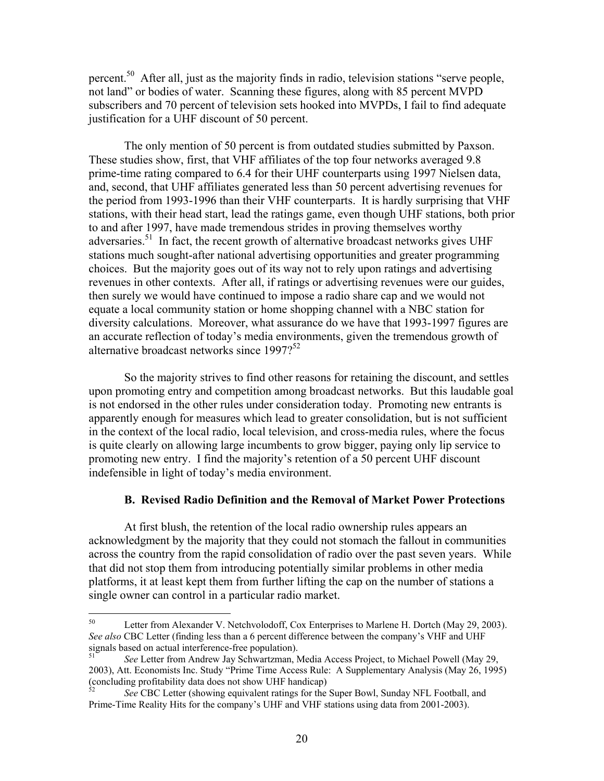percent.<sup>50</sup> After all, just as the majority finds in radio, television stations "serve people, not land" or bodies of water. Scanning these figures, along with 85 percent MVPD subscribers and 70 percent of television sets hooked into MVPDs, I fail to find adequate justification for a UHF discount of 50 percent.

The only mention of 50 percent is from outdated studies submitted by Paxson. These studies show, first, that VHF affiliates of the top four networks averaged 9.8 prime-time rating compared to 6.4 for their UHF counterparts using 1997 Nielsen data, and, second, that UHF affiliates generated less than 50 percent advertising revenues for the period from 1993-1996 than their VHF counterparts. It is hardly surprising that VHF stations, with their head start, lead the ratings game, even though UHF stations, both prior to and after 1997, have made tremendous strides in proving themselves worthy adversaries.<sup>51</sup> In fact, the recent growth of alternative broadcast networks gives UHF stations much sought-after national advertising opportunities and greater programming choices. But the majority goes out of its way not to rely upon ratings and advertising revenues in other contexts. After all, if ratings or advertising revenues were our guides, then surely we would have continued to impose a radio share cap and we would not equate a local community station or home shopping channel with a NBC station for diversity calculations. Moreover, what assurance do we have that 1993-1997 figures are an accurate reflection of today's media environments, given the tremendous growth of alternative broadcast networks since 1997?<sup>52</sup>

So the majority strives to find other reasons for retaining the discount, and settles upon promoting entry and competition among broadcast networks. But this laudable goal is not endorsed in the other rules under consideration today. Promoting new entrants is apparently enough for measures which lead to greater consolidation, but is not sufficient in the context of the local radio, local television, and cross-media rules, where the focus is quite clearly on allowing large incumbents to grow bigger, paying only lip service to promoting new entry. I find the majority's retention of a 50 percent UHF discount indefensible in light of today's media environment.

# **B. Revised Radio Definition and the Removal of Market Power Protections**

At first blush, the retention of the local radio ownership rules appears an acknowledgment by the majority that they could not stomach the fallout in communities across the country from the rapid consolidation of radio over the past seven years. While that did not stop them from introducing potentially similar problems in other media platforms, it at least kept them from further lifting the cap on the number of stations a single owner can control in a particular radio market.

<sup>50</sup> Letter from Alexander V. Netchvolodoff, Cox Enterprises to Marlene H. Dortch (May 29, 2003). *See also* CBC Letter (finding less than a 6 percent difference between the company's VHF and UHF signals based on actual interference-free population).

<sup>51</sup> *See* Letter from Andrew Jay Schwartzman, Media Access Project, to Michael Powell (May 29, 2003), Att. Economists Inc. Study "Prime Time Access Rule: A Supplementary Analysis (May 26, 1995) (concluding profitability data does not show UHF handicap)

<sup>52</sup> *See* CBC Letter (showing equivalent ratings for the Super Bowl, Sunday NFL Football, and Prime-Time Reality Hits for the company's UHF and VHF stations using data from 2001-2003).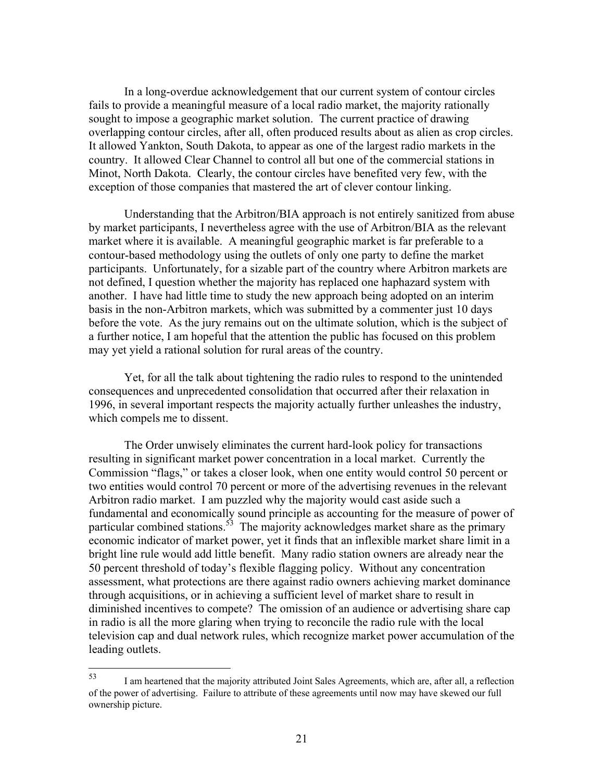In a long-overdue acknowledgement that our current system of contour circles fails to provide a meaningful measure of a local radio market, the majority rationally sought to impose a geographic market solution. The current practice of drawing overlapping contour circles, after all, often produced results about as alien as crop circles. It allowed Yankton, South Dakota, to appear as one of the largest radio markets in the country. It allowed Clear Channel to control all but one of the commercial stations in Minot, North Dakota. Clearly, the contour circles have benefited very few, with the exception of those companies that mastered the art of clever contour linking.

 Understanding that the Arbitron/BIA approach is not entirely sanitized from abuse by market participants, I nevertheless agree with the use of Arbitron/BIA as the relevant market where it is available. A meaningful geographic market is far preferable to a contour-based methodology using the outlets of only one party to define the market participants. Unfortunately, for a sizable part of the country where Arbitron markets are not defined, I question whether the majority has replaced one haphazard system with another. I have had little time to study the new approach being adopted on an interim basis in the non-Arbitron markets, which was submitted by a commenter just 10 days before the vote. As the jury remains out on the ultimate solution, which is the subject of a further notice, I am hopeful that the attention the public has focused on this problem may yet yield a rational solution for rural areas of the country.

 Yet, for all the talk about tightening the radio rules to respond to the unintended consequences and unprecedented consolidation that occurred after their relaxation in 1996, in several important respects the majority actually further unleashes the industry, which compels me to dissent.

 The Order unwisely eliminates the current hard-look policy for transactions resulting in significant market power concentration in a local market. Currently the Commission "flags," or takes a closer look, when one entity would control 50 percent or two entities would control 70 percent or more of the advertising revenues in the relevant Arbitron radio market. I am puzzled why the majority would cast aside such a fundamental and economically sound principle as accounting for the measure of power of particular combined stations.<sup>53</sup> The majority acknowledges market share as the primary economic indicator of market power, yet it finds that an inflexible market share limit in a bright line rule would add little benefit. Many radio station owners are already near the 50 percent threshold of today's flexible flagging policy. Without any concentration assessment, what protections are there against radio owners achieving market dominance through acquisitions, or in achieving a sufficient level of market share to result in diminished incentives to compete? The omission of an audience or advertising share cap in radio is all the more glaring when trying to reconcile the radio rule with the local television cap and dual network rules, which recognize market power accumulation of the leading outlets.

<sup>53</sup> I am heartened that the majority attributed Joint Sales Agreements, which are, after all, a reflection of the power of advertising. Failure to attribute of these agreements until now may have skewed our full ownership picture.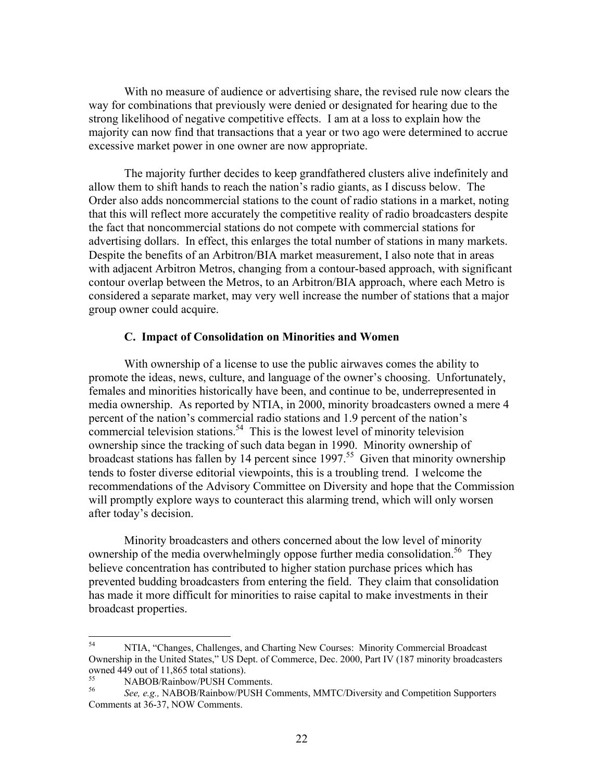With no measure of audience or advertising share, the revised rule now clears the way for combinations that previously were denied or designated for hearing due to the strong likelihood of negative competitive effects. I am at a loss to explain how the majority can now find that transactions that a year or two ago were determined to accrue excessive market power in one owner are now appropriate.

The majority further decides to keep grandfathered clusters alive indefinitely and allow them to shift hands to reach the nation's radio giants, as I discuss below. The Order also adds noncommercial stations to the count of radio stations in a market, noting that this will reflect more accurately the competitive reality of radio broadcasters despite the fact that noncommercial stations do not compete with commercial stations for advertising dollars. In effect, this enlarges the total number of stations in many markets. Despite the benefits of an Arbitron/BIA market measurement, I also note that in areas with adjacent Arbitron Metros, changing from a contour-based approach, with significant contour overlap between the Metros, to an Arbitron/BIA approach, where each Metro is considered a separate market, may very well increase the number of stations that a major group owner could acquire.

# **C. Impact of Consolidation on Minorities and Women**

With ownership of a license to use the public airwaves comes the ability to promote the ideas, news, culture, and language of the owner's choosing. Unfortunately, females and minorities historically have been, and continue to be, underrepresented in media ownership. As reported by NTIA, in 2000, minority broadcasters owned a mere 4 percent of the nation's commercial radio stations and 1.9 percent of the nation's commercial television stations.<sup>54</sup> This is the lowest level of minority television ownership since the tracking of such data began in 1990. Minority ownership of broadcast stations has fallen by 14 percent since 1997.<sup>55</sup> Given that minority ownership tends to foster diverse editorial viewpoints, this is a troubling trend. I welcome the recommendations of the Advisory Committee on Diversity and hope that the Commission will promptly explore ways to counteract this alarming trend, which will only worsen after today's decision.

Minority broadcasters and others concerned about the low level of minority ownership of the media overwhelmingly oppose further media consolidation.<sup>56</sup> They believe concentration has contributed to higher station purchase prices which has prevented budding broadcasters from entering the field. They claim that consolidation has made it more difficult for minorities to raise capital to make investments in their broadcast properties.

<sup>54</sup> 54 NTIA, "Changes, Challenges, and Charting New Courses: Minority Commercial Broadcast Ownership in the United States," US Dept. of Commerce, Dec. 2000, Part IV (187 minority broadcasters owned 449 out of 11,865 total stations).

 $^{55}$  NABOB/Rainbow/PUSH Comments.<br> $^{56}$  See e.g. NABOB/Rainbow/PUSH Co

<sup>56</sup> *See, e.g.,* NABOB/Rainbow/PUSH Comments, MMTC/Diversity and Competition Supporters Comments at 36-37, NOW Comments.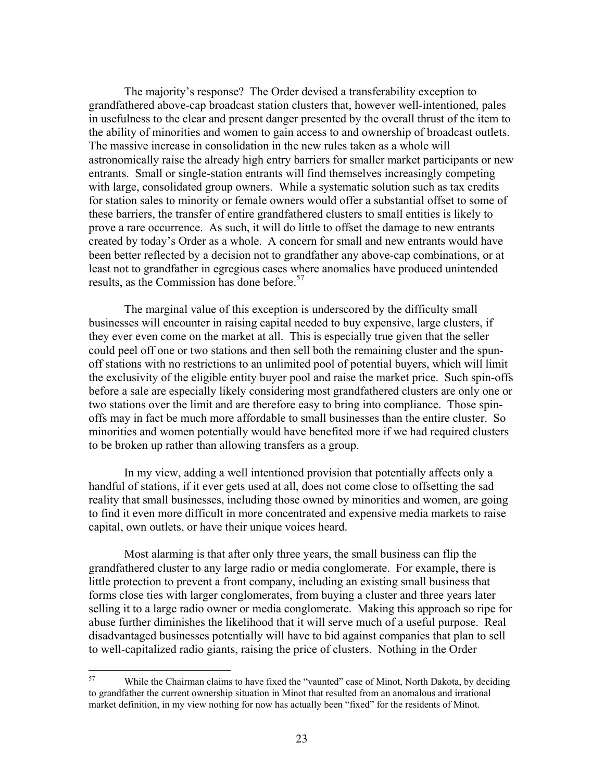The majority's response? The Order devised a transferability exception to grandfathered above-cap broadcast station clusters that, however well-intentioned, pales in usefulness to the clear and present danger presented by the overall thrust of the item to the ability of minorities and women to gain access to and ownership of broadcast outlets. The massive increase in consolidation in the new rules taken as a whole will astronomically raise the already high entry barriers for smaller market participants or new entrants. Small or single-station entrants will find themselves increasingly competing with large, consolidated group owners. While a systematic solution such as tax credits for station sales to minority or female owners would offer a substantial offset to some of these barriers, the transfer of entire grandfathered clusters to small entities is likely to prove a rare occurrence. As such, it will do little to offset the damage to new entrants created by today's Order as a whole. A concern for small and new entrants would have been better reflected by a decision not to grandfather any above-cap combinations, or at least not to grandfather in egregious cases where anomalies have produced unintended results, as the Commission has done before.<sup>57</sup>

The marginal value of this exception is underscored by the difficulty small businesses will encounter in raising capital needed to buy expensive, large clusters, if they ever even come on the market at all. This is especially true given that the seller could peel off one or two stations and then sell both the remaining cluster and the spunoff stations with no restrictions to an unlimited pool of potential buyers, which will limit the exclusivity of the eligible entity buyer pool and raise the market price. Such spin-offs before a sale are especially likely considering most grandfathered clusters are only one or two stations over the limit and are therefore easy to bring into compliance. Those spinoffs may in fact be much more affordable to small businesses than the entire cluster. So minorities and women potentially would have benefited more if we had required clusters to be broken up rather than allowing transfers as a group.

In my view, adding a well intentioned provision that potentially affects only a handful of stations, if it ever gets used at all, does not come close to offsetting the sad reality that small businesses, including those owned by minorities and women, are going to find it even more difficult in more concentrated and expensive media markets to raise capital, own outlets, or have their unique voices heard.

Most alarming is that after only three years, the small business can flip the grandfathered cluster to any large radio or media conglomerate. For example, there is little protection to prevent a front company, including an existing small business that forms close ties with larger conglomerates, from buying a cluster and three years later selling it to a large radio owner or media conglomerate. Making this approach so ripe for abuse further diminishes the likelihood that it will serve much of a useful purpose. Real disadvantaged businesses potentially will have to bid against companies that plan to sell to well-capitalized radio giants, raising the price of clusters. Nothing in the Order

<sup>57</sup> 57 While the Chairman claims to have fixed the "vaunted" case of Minot, North Dakota, by deciding to grandfather the current ownership situation in Minot that resulted from an anomalous and irrational market definition, in my view nothing for now has actually been "fixed" for the residents of Minot.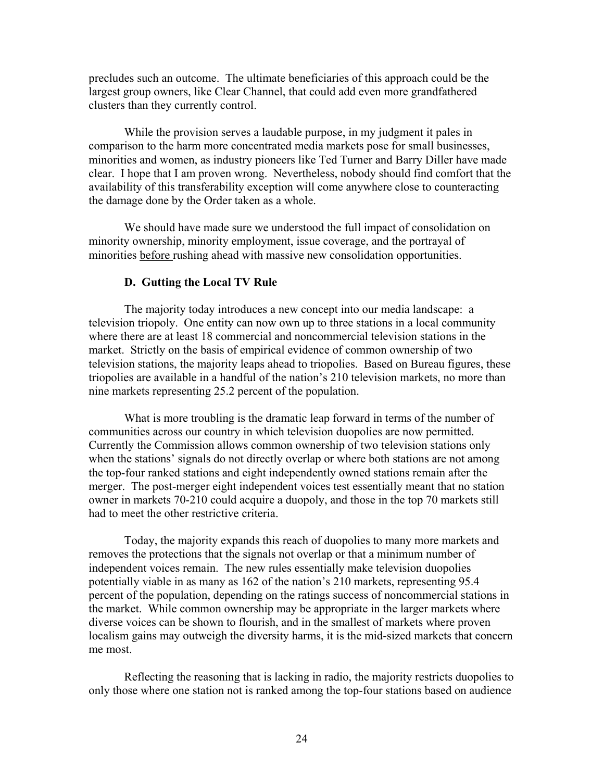precludes such an outcome. The ultimate beneficiaries of this approach could be the largest group owners, like Clear Channel, that could add even more grandfathered clusters than they currently control.

While the provision serves a laudable purpose, in my judgment it pales in comparison to the harm more concentrated media markets pose for small businesses, minorities and women, as industry pioneers like Ted Turner and Barry Diller have made clear. I hope that I am proven wrong. Nevertheless, nobody should find comfort that the availability of this transferability exception will come anywhere close to counteracting the damage done by the Order taken as a whole.

We should have made sure we understood the full impact of consolidation on minority ownership, minority employment, issue coverage, and the portrayal of minorities before rushing ahead with massive new consolidation opportunities.

### **D. Gutting the Local TV Rule**

The majority today introduces a new concept into our media landscape: a television triopoly. One entity can now own up to three stations in a local community where there are at least 18 commercial and noncommercial television stations in the market. Strictly on the basis of empirical evidence of common ownership of two television stations, the majority leaps ahead to triopolies. Based on Bureau figures, these triopolies are available in a handful of the nation's 210 television markets, no more than nine markets representing 25.2 percent of the population.

What is more troubling is the dramatic leap forward in terms of the number of communities across our country in which television duopolies are now permitted. Currently the Commission allows common ownership of two television stations only when the stations' signals do not directly overlap or where both stations are not among the top-four ranked stations and eight independently owned stations remain after the merger. The post-merger eight independent voices test essentially meant that no station owner in markets 70-210 could acquire a duopoly, and those in the top 70 markets still had to meet the other restrictive criteria.

Today, the majority expands this reach of duopolies to many more markets and removes the protections that the signals not overlap or that a minimum number of independent voices remain. The new rules essentially make television duopolies potentially viable in as many as 162 of the nation's 210 markets, representing 95.4 percent of the population, depending on the ratings success of noncommercial stations in the market. While common ownership may be appropriate in the larger markets where diverse voices can be shown to flourish, and in the smallest of markets where proven localism gains may outweigh the diversity harms, it is the mid-sized markets that concern me most.

Reflecting the reasoning that is lacking in radio, the majority restricts duopolies to only those where one station not is ranked among the top-four stations based on audience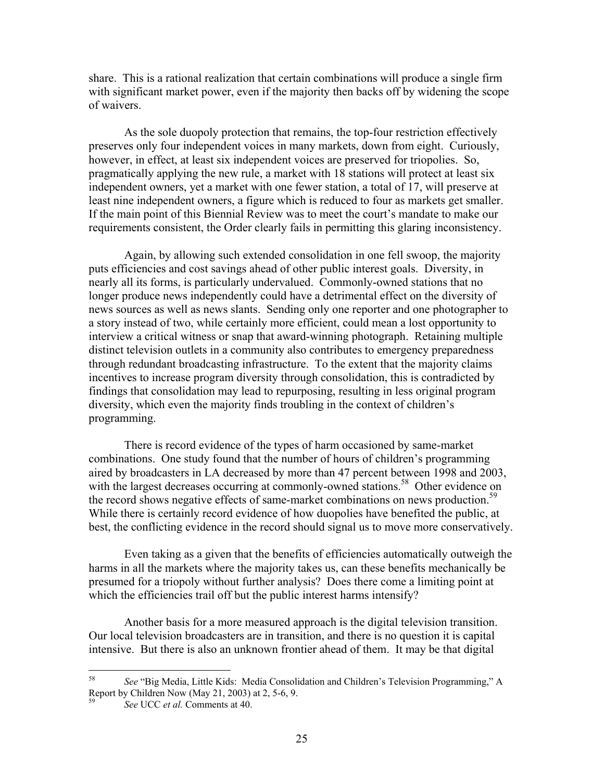share. This is a rational realization that certain combinations will produce a single firm with significant market power, even if the majority then backs off by widening the scope of waivers.

As the sole duopoly protection that remains, the top-four restriction effectively preserves only four independent voices in many markets, down from eight. Curiously, however, in effect, at least six independent voices are preserved for triopolies. So, pragmatically applying the new rule, a market with 18 stations will protect at least six independent owners, yet a market with one fewer station, a total of 17, will preserve at least nine independent owners, a figure which is reduced to four as markets get smaller. If the main point of this Biennial Review was to meet the court's mandate to make our requirements consistent, the Order clearly fails in permitting this glaring inconsistency.

Again, by allowing such extended consolidation in one fell swoop, the majority puts efficiencies and cost savings ahead of other public interest goals. Diversity, in nearly all its forms, is particularly undervalued. Commonly-owned stations that no longer produce news independently could have a detrimental effect on the diversity of news sources as well as news slants. Sending only one reporter and one photographer to a story instead of two, while certainly more efficient, could mean a lost opportunity to interview a critical witness or snap that award-winning photograph. Retaining multiple distinct television outlets in a community also contributes to emergency preparedness through redundant broadcasting infrastructure. To the extent that the majority claims incentives to increase program diversity through consolidation, this is contradicted by findings that consolidation may lead to repurposing, resulting in less original program diversity, which even the majority finds troubling in the context of children's programming.

There is record evidence of the types of harm occasioned by same-market combinations. One study found that the number of hours of children's programming aired by broadcasters in LA decreased by more than 47 percent between 1998 and 2003, with the largest decreases occurring at commonly-owned stations.<sup>58</sup> Other evidence on the record shows negative effects of same-market combinations on news production.<sup>59</sup> While there is certainly record evidence of how duopolies have benefited the public, at best, the conflicting evidence in the record should signal us to move more conservatively.

Even taking as a given that the benefits of efficiencies automatically outweigh the harms in all the markets where the majority takes us, can these benefits mechanically be presumed for a triopoly without further analysis? Does there come a limiting point at which the efficiencies trail off but the public interest harms intensify?

Another basis for a more measured approach is the digital television transition. Our local television broadcasters are in transition, and there is no question it is capital intensive. But there is also an unknown frontier ahead of them. It may be that digital

<sup>58</sup> 58 *See* "Big Media, Little Kids: Media Consolidation and Children's Television Programming," A Report by Children Now (May 21, 2003) at 2, 5-6, 9.

<sup>59</sup> *See* UCC *et al.* Comments at 40.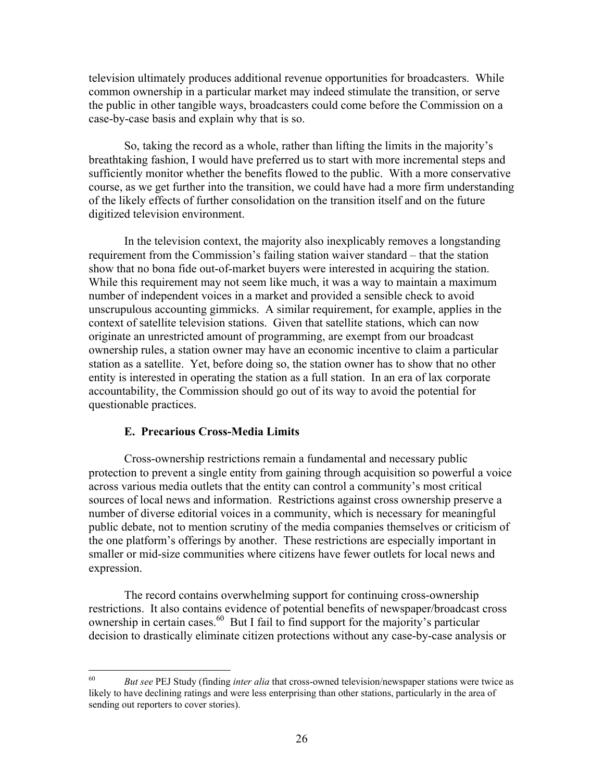television ultimately produces additional revenue opportunities for broadcasters. While common ownership in a particular market may indeed stimulate the transition, or serve the public in other tangible ways, broadcasters could come before the Commission on a case-by-case basis and explain why that is so.

So, taking the record as a whole, rather than lifting the limits in the majority's breathtaking fashion, I would have preferred us to start with more incremental steps and sufficiently monitor whether the benefits flowed to the public. With a more conservative course, as we get further into the transition, we could have had a more firm understanding of the likely effects of further consolidation on the transition itself and on the future digitized television environment.

In the television context, the majority also inexplicably removes a longstanding requirement from the Commission's failing station waiver standard – that the station show that no bona fide out-of-market buyers were interested in acquiring the station. While this requirement may not seem like much, it was a way to maintain a maximum number of independent voices in a market and provided a sensible check to avoid unscrupulous accounting gimmicks. A similar requirement, for example, applies in the context of satellite television stations. Given that satellite stations, which can now originate an unrestricted amount of programming, are exempt from our broadcast ownership rules, a station owner may have an economic incentive to claim a particular station as a satellite. Yet, before doing so, the station owner has to show that no other entity is interested in operating the station as a full station. In an era of lax corporate accountability, the Commission should go out of its way to avoid the potential for questionable practices.

## **E. Precarious Cross-Media Limits**

Cross-ownership restrictions remain a fundamental and necessary public protection to prevent a single entity from gaining through acquisition so powerful a voice across various media outlets that the entity can control a community's most critical sources of local news and information. Restrictions against cross ownership preserve a number of diverse editorial voices in a community, which is necessary for meaningful public debate, not to mention scrutiny of the media companies themselves or criticism of the one platform's offerings by another. These restrictions are especially important in smaller or mid-size communities where citizens have fewer outlets for local news and expression.

The record contains overwhelming support for continuing cross-ownership restrictions. It also contains evidence of potential benefits of newspaper/broadcast cross ownership in certain cases. $^{60}$  But I fail to find support for the majority's particular decision to drastically eliminate citizen protections without any case-by-case analysis or

<sup>60</sup> 60 *But see* PEJ Study (finding *inter alia* that cross-owned television/newspaper stations were twice as likely to have declining ratings and were less enterprising than other stations, particularly in the area of sending out reporters to cover stories).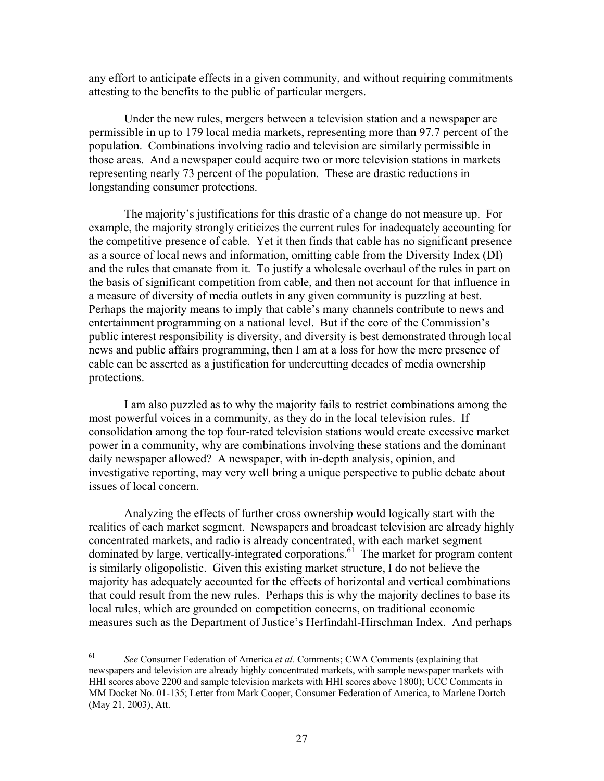any effort to anticipate effects in a given community, and without requiring commitments attesting to the benefits to the public of particular mergers.

Under the new rules, mergers between a television station and a newspaper are permissible in up to 179 local media markets, representing more than 97.7 percent of the population. Combinations involving radio and television are similarly permissible in those areas. And a newspaper could acquire two or more television stations in markets representing nearly 73 percent of the population. These are drastic reductions in longstanding consumer protections.

The majority's justifications for this drastic of a change do not measure up. For example, the majority strongly criticizes the current rules for inadequately accounting for the competitive presence of cable. Yet it then finds that cable has no significant presence as a source of local news and information, omitting cable from the Diversity Index (DI) and the rules that emanate from it. To justify a wholesale overhaul of the rules in part on the basis of significant competition from cable, and then not account for that influence in a measure of diversity of media outlets in any given community is puzzling at best. Perhaps the majority means to imply that cable's many channels contribute to news and entertainment programming on a national level. But if the core of the Commission's public interest responsibility is diversity, and diversity is best demonstrated through local news and public affairs programming, then I am at a loss for how the mere presence of cable can be asserted as a justification for undercutting decades of media ownership protections.

I am also puzzled as to why the majority fails to restrict combinations among the most powerful voices in a community, as they do in the local television rules. If consolidation among the top four-rated television stations would create excessive market power in a community, why are combinations involving these stations and the dominant daily newspaper allowed? A newspaper, with in-depth analysis, opinion, and investigative reporting, may very well bring a unique perspective to public debate about issues of local concern.

Analyzing the effects of further cross ownership would logically start with the realities of each market segment. Newspapers and broadcast television are already highly concentrated markets, and radio is already concentrated, with each market segment dominated by large, vertically-integrated corporations.<sup>61</sup> The market for program content is similarly oligopolistic. Given this existing market structure, I do not believe the majority has adequately accounted for the effects of horizontal and vertical combinations that could result from the new rules. Perhaps this is why the majority declines to base its local rules, which are grounded on competition concerns, on traditional economic measures such as the Department of Justice's Herfindahl-Hirschman Index. And perhaps

<sup>61</sup> 61 *See* Consumer Federation of America *et al.* Comments; CWA Comments (explaining that newspapers and television are already highly concentrated markets, with sample newspaper markets with HHI scores above 2200 and sample television markets with HHI scores above 1800); UCC Comments in MM Docket No. 01-135; Letter from Mark Cooper, Consumer Federation of America, to Marlene Dortch (May 21, 2003), Att.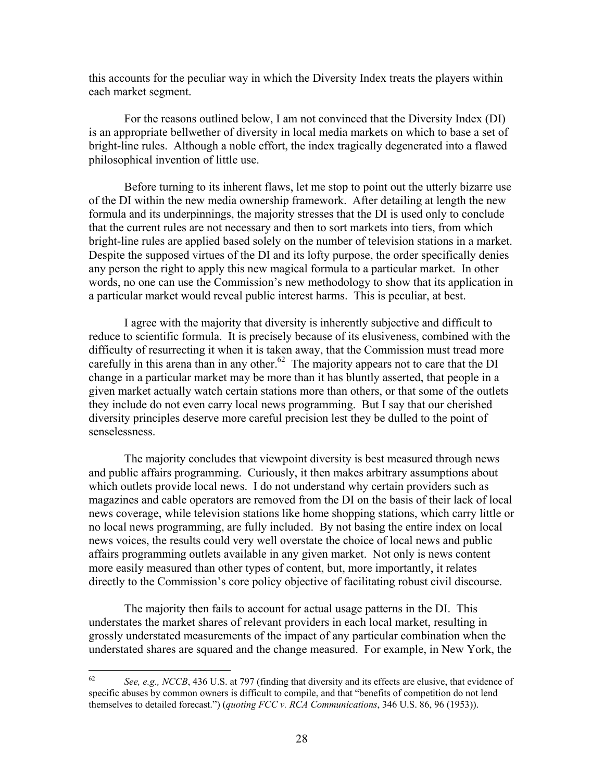this accounts for the peculiar way in which the Diversity Index treats the players within each market segment.

For the reasons outlined below, I am not convinced that the Diversity Index (DI) is an appropriate bellwether of diversity in local media markets on which to base a set of bright-line rules. Although a noble effort, the index tragically degenerated into a flawed philosophical invention of little use.

 Before turning to its inherent flaws, let me stop to point out the utterly bizarre use of the DI within the new media ownership framework. After detailing at length the new formula and its underpinnings, the majority stresses that the DI is used only to conclude that the current rules are not necessary and then to sort markets into tiers, from which bright-line rules are applied based solely on the number of television stations in a market. Despite the supposed virtues of the DI and its lofty purpose, the order specifically denies any person the right to apply this new magical formula to a particular market. In other words, no one can use the Commission's new methodology to show that its application in a particular market would reveal public interest harms. This is peculiar, at best.

I agree with the majority that diversity is inherently subjective and difficult to reduce to scientific formula. It is precisely because of its elusiveness, combined with the difficulty of resurrecting it when it is taken away, that the Commission must tread more carefully in this arena than in any other.<sup>62</sup> The majority appears not to care that the DI change in a particular market may be more than it has bluntly asserted, that people in a given market actually watch certain stations more than others, or that some of the outlets they include do not even carry local news programming. But I say that our cherished diversity principles deserve more careful precision lest they be dulled to the point of senselessness.

The majority concludes that viewpoint diversity is best measured through news and public affairs programming. Curiously, it then makes arbitrary assumptions about which outlets provide local news. I do not understand why certain providers such as magazines and cable operators are removed from the DI on the basis of their lack of local news coverage, while television stations like home shopping stations, which carry little or no local news programming, are fully included. By not basing the entire index on local news voices, the results could very well overstate the choice of local news and public affairs programming outlets available in any given market. Not only is news content more easily measured than other types of content, but, more importantly, it relates directly to the Commission's core policy objective of facilitating robust civil discourse.

The majority then fails to account for actual usage patterns in the DI. This understates the market shares of relevant providers in each local market, resulting in grossly understated measurements of the impact of any particular combination when the understated shares are squared and the change measured. For example, in New York, the

<sup>62</sup> 62 *See, e.g., NCCB*, 436 U.S. at 797 (finding that diversity and its effects are elusive, that evidence of specific abuses by common owners is difficult to compile, and that "benefits of competition do not lend themselves to detailed forecast.") (*quoting FCC v. RCA Communications*, 346 U.S. 86, 96 (1953)).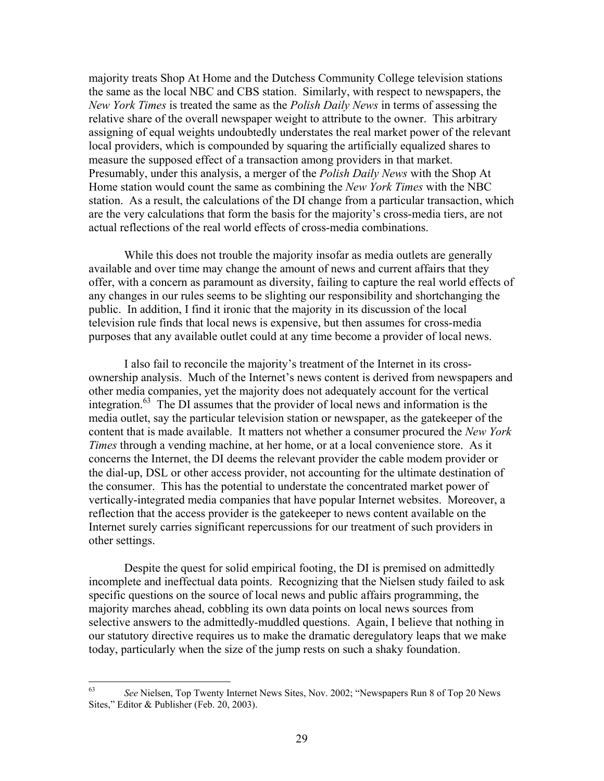majority treats Shop At Home and the Dutchess Community College television stations the same as the local NBC and CBS station. Similarly, with respect to newspapers, the *New York Times* is treated the same as the *Polish Daily News* in terms of assessing the relative share of the overall newspaper weight to attribute to the owner. This arbitrary assigning of equal weights undoubtedly understates the real market power of the relevant local providers, which is compounded by squaring the artificially equalized shares to measure the supposed effect of a transaction among providers in that market. Presumably, under this analysis, a merger of the *Polish Daily News* with the Shop At Home station would count the same as combining the *New York Times* with the NBC station. As a result, the calculations of the DI change from a particular transaction, which are the very calculations that form the basis for the majority's cross-media tiers, are not actual reflections of the real world effects of cross-media combinations.

While this does not trouble the majority insofar as media outlets are generally available and over time may change the amount of news and current affairs that they offer, with a concern as paramount as diversity, failing to capture the real world effects of any changes in our rules seems to be slighting our responsibility and shortchanging the public. In addition, I find it ironic that the majority in its discussion of the local television rule finds that local news is expensive, but then assumes for cross-media purposes that any available outlet could at any time become a provider of local news.

I also fail to reconcile the majority's treatment of the Internet in its crossownership analysis. Much of the Internet's news content is derived from newspapers and other media companies, yet the majority does not adequately account for the vertical integration.63 The DI assumes that the provider of local news and information is the media outlet, say the particular television station or newspaper, as the gatekeeper of the content that is made available. It matters not whether a consumer procured the *New York Times* through a vending machine, at her home, or at a local convenience store. As it concerns the Internet, the DI deems the relevant provider the cable modem provider or the dial-up, DSL or other access provider, not accounting for the ultimate destination of the consumer. This has the potential to understate the concentrated market power of vertically-integrated media companies that have popular Internet websites. Moreover, a reflection that the access provider is the gatekeeper to news content available on the Internet surely carries significant repercussions for our treatment of such providers in other settings.

 Despite the quest for solid empirical footing, the DI is premised on admittedly incomplete and ineffectual data points. Recognizing that the Nielsen study failed to ask specific questions on the source of local news and public affairs programming, the majority marches ahead, cobbling its own data points on local news sources from selective answers to the admittedly-muddled questions. Again, I believe that nothing in our statutory directive requires us to make the dramatic deregulatory leaps that we make today, particularly when the size of the jump rests on such a shaky foundation.

<sup>63</sup> 63 *See* Nielsen, Top Twenty Internet News Sites, Nov. 2002; "Newspapers Run 8 of Top 20 News Sites," Editor & Publisher (Feb. 20, 2003).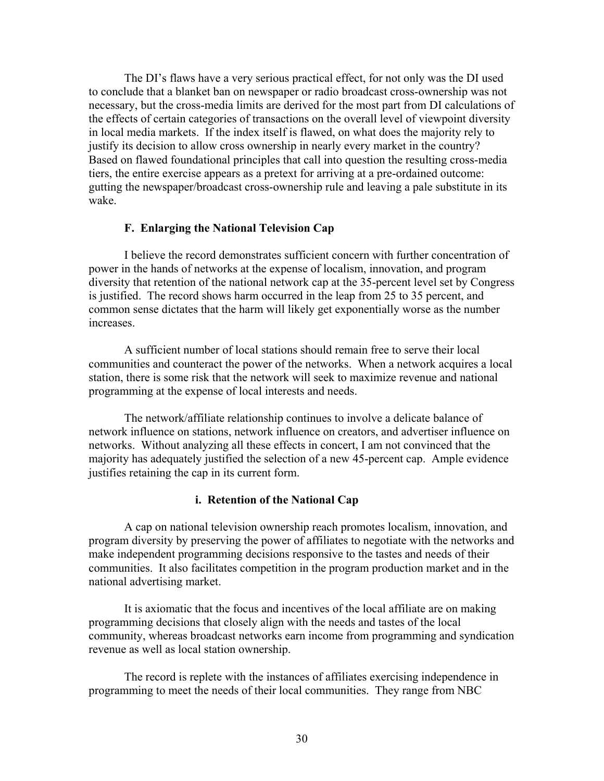The DI's flaws have a very serious practical effect, for not only was the DI used to conclude that a blanket ban on newspaper or radio broadcast cross-ownership was not necessary, but the cross-media limits are derived for the most part from DI calculations of the effects of certain categories of transactions on the overall level of viewpoint diversity in local media markets. If the index itself is flawed, on what does the majority rely to justify its decision to allow cross ownership in nearly every market in the country? Based on flawed foundational principles that call into question the resulting cross-media tiers, the entire exercise appears as a pretext for arriving at a pre-ordained outcome: gutting the newspaper/broadcast cross-ownership rule and leaving a pale substitute in its wake.

# **F. Enlarging the National Television Cap**

I believe the record demonstrates sufficient concern with further concentration of power in the hands of networks at the expense of localism, innovation, and program diversity that retention of the national network cap at the 35-percent level set by Congress is justified. The record shows harm occurred in the leap from 25 to 35 percent, and common sense dictates that the harm will likely get exponentially worse as the number increases.

A sufficient number of local stations should remain free to serve their local communities and counteract the power of the networks. When a network acquires a local station, there is some risk that the network will seek to maximize revenue and national programming at the expense of local interests and needs.

The network/affiliate relationship continues to involve a delicate balance of network influence on stations, network influence on creators, and advertiser influence on networks. Without analyzing all these effects in concert, I am not convinced that the majority has adequately justified the selection of a new 45-percent cap. Ample evidence justifies retaining the cap in its current form.

### **i. Retention of the National Cap**

A cap on national television ownership reach promotes localism, innovation, and program diversity by preserving the power of affiliates to negotiate with the networks and make independent programming decisions responsive to the tastes and needs of their communities. It also facilitates competition in the program production market and in the national advertising market.

It is axiomatic that the focus and incentives of the local affiliate are on making programming decisions that closely align with the needs and tastes of the local community, whereas broadcast networks earn income from programming and syndication revenue as well as local station ownership.

The record is replete with the instances of affiliates exercising independence in programming to meet the needs of their local communities. They range from NBC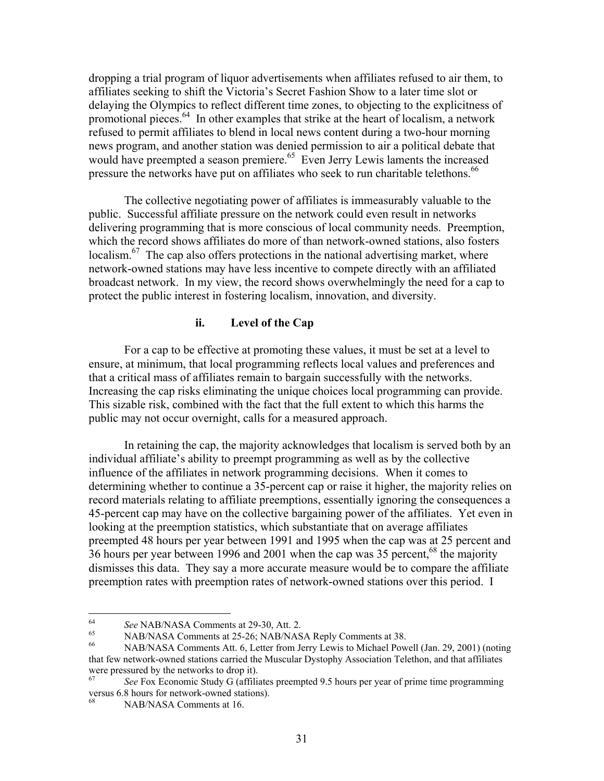dropping a trial program of liquor advertisements when affiliates refused to air them, to affiliates seeking to shift the Victoria's Secret Fashion Show to a later time slot or delaying the Olympics to reflect different time zones, to objecting to the explicitness of promotional pieces. $64$  In other examples that strike at the heart of localism, a network refused to permit affiliates to blend in local news content during a two-hour morning news program, and another station was denied permission to air a political debate that would have preempted a season premiere.<sup>65</sup> Even Jerry Lewis laments the increased pressure the networks have put on affiliates who seek to run charitable telethons.<sup>66</sup>

The collective negotiating power of affiliates is immeasurably valuable to the public. Successful affiliate pressure on the network could even result in networks delivering programming that is more conscious of local community needs. Preemption, which the record shows affiliates do more of than network-owned stations, also fosters localism.<sup>67</sup> The cap also offers protections in the national advertising market, where network-owned stations may have less incentive to compete directly with an affiliated broadcast network. In my view, the record shows overwhelmingly the need for a cap to protect the public interest in fostering localism, innovation, and diversity.

# **ii. Level of the Cap**

For a cap to be effective at promoting these values, it must be set at a level to ensure, at minimum, that local programming reflects local values and preferences and that a critical mass of affiliates remain to bargain successfully with the networks. Increasing the cap risks eliminating the unique choices local programming can provide. This sizable risk, combined with the fact that the full extent to which this harms the public may not occur overnight, calls for a measured approach.

 In retaining the cap, the majority acknowledges that localism is served both by an individual affiliate's ability to preempt programming as well as by the collective influence of the affiliates in network programming decisions. When it comes to determining whether to continue a 35-percent cap or raise it higher, the majority relies on record materials relating to affiliate preemptions, essentially ignoring the consequences a 45-percent cap may have on the collective bargaining power of the affiliates. Yet even in looking at the preemption statistics, which substantiate that on average affiliates preempted 48 hours per year between 1991 and 1995 when the cap was at 25 percent and 36 hours per year between 1996 and 2001 when the cap was 35 percent,  $^{68}$  the majority dismisses this data. They say a more accurate measure would be to compare the affiliate preemption rates with preemption rates of network-owned stations over this period. I

<sup>64</sup> 

<sup>&</sup>lt;sup>64</sup> See NAB/NASA Comments at 29-30, Att. 2.<br><sup>65</sup> NAB/NASA Comments at 25-26; NAB/NASA Reply Comments at 38.<br><sup>66</sup> NAB/NASA Comments Att. 6, Letter from Jerry Lewis to Michael Powell (Jan. 29, 2001) (noting that few network-owned stations carried the Muscular Dystophy Association Telethon, and that affiliates were pressured by the networks to drop it).

<sup>67</sup> *See* Fox Economic Study G (affiliates preempted 9.5 hours per year of prime time programming versus 6.8 hours for network-owned stations).

NAB/NASA Comments at 16.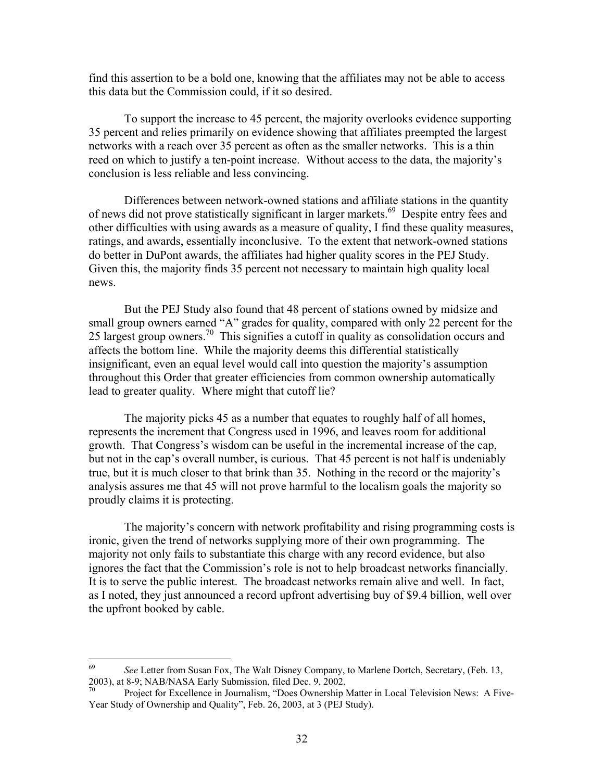find this assertion to be a bold one, knowing that the affiliates may not be able to access this data but the Commission could, if it so desired.

To support the increase to 45 percent, the majority overlooks evidence supporting 35 percent and relies primarily on evidence showing that affiliates preempted the largest networks with a reach over 35 percent as often as the smaller networks. This is a thin reed on which to justify a ten-point increase. Without access to the data, the majority's conclusion is less reliable and less convincing.

Differences between network-owned stations and affiliate stations in the quantity of news did not prove statistically significant in larger markets.<sup>69</sup> Despite entry fees and other difficulties with using awards as a measure of quality, I find these quality measures, ratings, and awards, essentially inconclusive. To the extent that network-owned stations do better in DuPont awards, the affiliates had higher quality scores in the PEJ Study. Given this, the majority finds 35 percent not necessary to maintain high quality local news.

 But the PEJ Study also found that 48 percent of stations owned by midsize and small group owners earned "A" grades for quality, compared with only 22 percent for the 25 largest group owners.70 This signifies a cutoff in quality as consolidation occurs and affects the bottom line. While the majority deems this differential statistically insignificant, even an equal level would call into question the majority's assumption throughout this Order that greater efficiencies from common ownership automatically lead to greater quality. Where might that cutoff lie?

 The majority picks 45 as a number that equates to roughly half of all homes, represents the increment that Congress used in 1996, and leaves room for additional growth. That Congress's wisdom can be useful in the incremental increase of the cap, but not in the cap's overall number, is curious. That 45 percent is not half is undeniably true, but it is much closer to that brink than 35. Nothing in the record or the majority's analysis assures me that 45 will not prove harmful to the localism goals the majority so proudly claims it is protecting.

The majority's concern with network profitability and rising programming costs is ironic, given the trend of networks supplying more of their own programming. The majority not only fails to substantiate this charge with any record evidence, but also ignores the fact that the Commission's role is not to help broadcast networks financially. It is to serve the public interest. The broadcast networks remain alive and well. In fact, as I noted, they just announced a record upfront advertising buy of \$9.4 billion, well over the upfront booked by cable.

<sup>69</sup> 69 *See* Letter from Susan Fox, The Walt Disney Company, to Marlene Dortch, Secretary, (Feb. 13, 2003), at 8-9; NAB/NASA Early Submission, filed Dec. 9, 2002.

Project for Excellence in Journalism, "Does Ownership Matter in Local Television News: A Five-Year Study of Ownership and Quality", Feb. 26, 2003, at 3 (PEJ Study).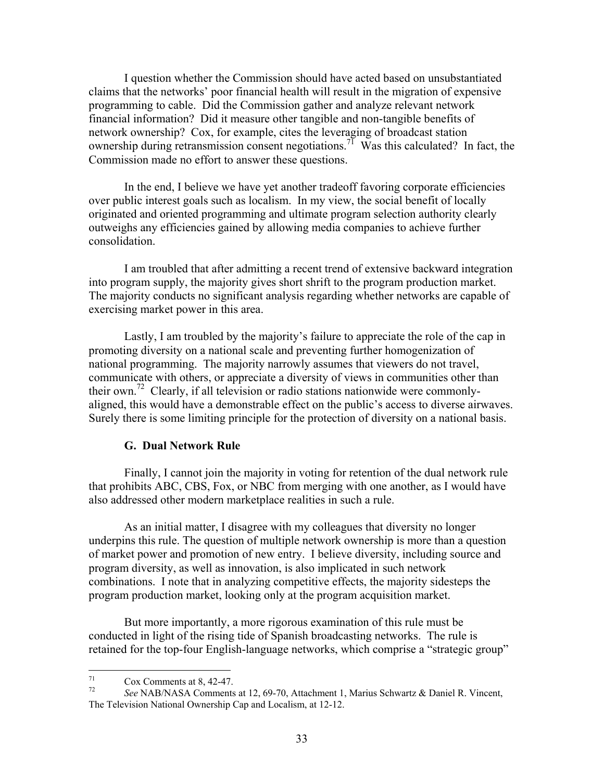I question whether the Commission should have acted based on unsubstantiated claims that the networks' poor financial health will result in the migration of expensive programming to cable. Did the Commission gather and analyze relevant network financial information? Did it measure other tangible and non-tangible benefits of network ownership? Cox, for example, cites the leveraging of broadcast station ownership during retransmission consent negotiations.<sup>71</sup> Was this calculated? In fact, the Commission made no effort to answer these questions.

In the end, I believe we have yet another tradeoff favoring corporate efficiencies over public interest goals such as localism. In my view, the social benefit of locally originated and oriented programming and ultimate program selection authority clearly outweighs any efficiencies gained by allowing media companies to achieve further consolidation.

I am troubled that after admitting a recent trend of extensive backward integration into program supply, the majority gives short shrift to the program production market. The majority conducts no significant analysis regarding whether networks are capable of exercising market power in this area.

Lastly, I am troubled by the majority's failure to appreciate the role of the cap in promoting diversity on a national scale and preventing further homogenization of national programming. The majority narrowly assumes that viewers do not travel, communicate with others, or appreciate a diversity of views in communities other than their own.<sup>72</sup> Clearly, if all television or radio stations nationwide were commonlyaligned, this would have a demonstrable effect on the public's access to diverse airwaves. Surely there is some limiting principle for the protection of diversity on a national basis.

### **G. Dual Network Rule**

Finally, I cannot join the majority in voting for retention of the dual network rule that prohibits ABC, CBS, Fox, or NBC from merging with one another, as I would have also addressed other modern marketplace realities in such a rule.

As an initial matter, I disagree with my colleagues that diversity no longer underpins this rule. The question of multiple network ownership is more than a question of market power and promotion of new entry. I believe diversity, including source and program diversity, as well as innovation, is also implicated in such network combinations. I note that in analyzing competitive effects, the majority sidesteps the program production market, looking only at the program acquisition market.

But more importantly, a more rigorous examination of this rule must be conducted in light of the rising tide of Spanish broadcasting networks. The rule is retained for the top-four English-language networks, which comprise a "strategic group"

 $71$  $\frac{71}{72}$  Cox Comments at 8, 42-47.

<sup>72</sup> *See* NAB/NASA Comments at 12, 69-70, Attachment 1, Marius Schwartz & Daniel R. Vincent, The Television National Ownership Cap and Localism, at 12-12.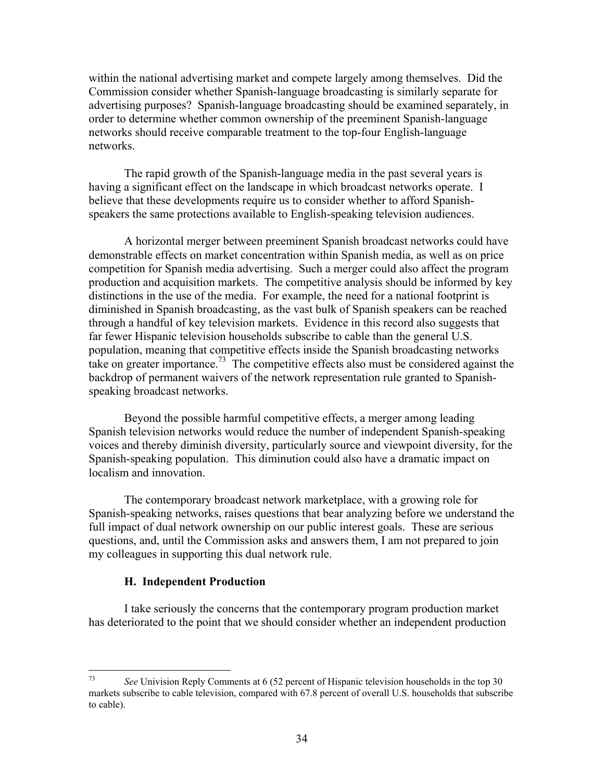within the national advertising market and compete largely among themselves. Did the Commission consider whether Spanish-language broadcasting is similarly separate for advertising purposes? Spanish-language broadcasting should be examined separately, in order to determine whether common ownership of the preeminent Spanish-language networks should receive comparable treatment to the top-four English-language networks.

The rapid growth of the Spanish-language media in the past several years is having a significant effect on the landscape in which broadcast networks operate. I believe that these developments require us to consider whether to afford Spanishspeakers the same protections available to English-speaking television audiences.

A horizontal merger between preeminent Spanish broadcast networks could have demonstrable effects on market concentration within Spanish media, as well as on price competition for Spanish media advertising. Such a merger could also affect the program production and acquisition markets. The competitive analysis should be informed by key distinctions in the use of the media. For example, the need for a national footprint is diminished in Spanish broadcasting, as the vast bulk of Spanish speakers can be reached through a handful of key television markets. Evidence in this record also suggests that far fewer Hispanic television households subscribe to cable than the general U.S. population, meaning that competitive effects inside the Spanish broadcasting networks take on greater importance.<sup>73</sup> The competitive effects also must be considered against the backdrop of permanent waivers of the network representation rule granted to Spanishspeaking broadcast networks.

Beyond the possible harmful competitive effects, a merger among leading Spanish television networks would reduce the number of independent Spanish-speaking voices and thereby diminish diversity, particularly source and viewpoint diversity, for the Spanish-speaking population. This diminution could also have a dramatic impact on localism and innovation.

The contemporary broadcast network marketplace, with a growing role for Spanish-speaking networks, raises questions that bear analyzing before we understand the full impact of dual network ownership on our public interest goals. These are serious questions, and, until the Commission asks and answers them, I am not prepared to join my colleagues in supporting this dual network rule.

## **H. Independent Production**

I take seriously the concerns that the contemporary program production market has deteriorated to the point that we should consider whether an independent production

<sup>73</sup> 73 *See* Univision Reply Comments at 6 (52 percent of Hispanic television households in the top 30 markets subscribe to cable television, compared with 67.8 percent of overall U.S. households that subscribe to cable).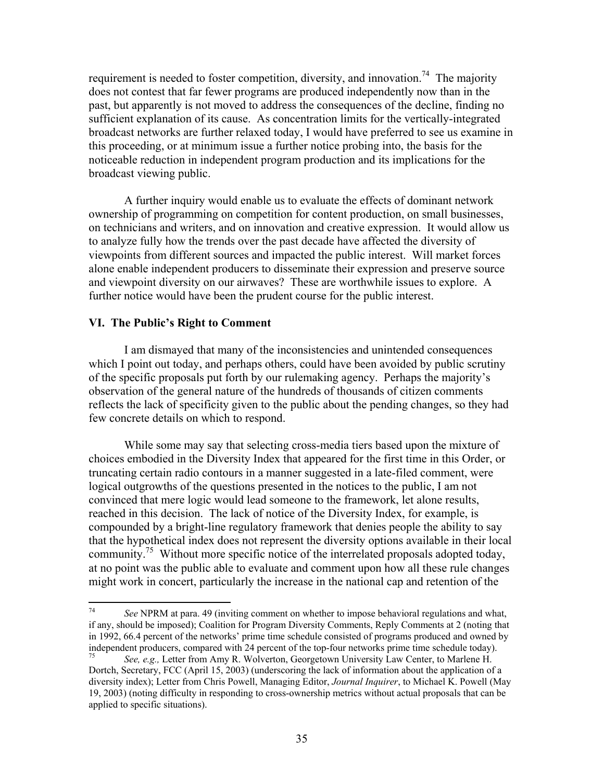requirement is needed to foster competition, diversity, and innovation.<sup>74</sup> The majority does not contest that far fewer programs are produced independently now than in the past, but apparently is not moved to address the consequences of the decline, finding no sufficient explanation of its cause. As concentration limits for the vertically-integrated broadcast networks are further relaxed today, I would have preferred to see us examine in this proceeding, or at minimum issue a further notice probing into, the basis for the noticeable reduction in independent program production and its implications for the broadcast viewing public.

A further inquiry would enable us to evaluate the effects of dominant network ownership of programming on competition for content production, on small businesses, on technicians and writers, and on innovation and creative expression. It would allow us to analyze fully how the trends over the past decade have affected the diversity of viewpoints from different sources and impacted the public interest. Will market forces alone enable independent producers to disseminate their expression and preserve source and viewpoint diversity on our airwaves? These are worthwhile issues to explore. A further notice would have been the prudent course for the public interest.

# **VI. The Public's Right to Comment**

 I am dismayed that many of the inconsistencies and unintended consequences which I point out today, and perhaps others, could have been avoided by public scrutiny of the specific proposals put forth by our rulemaking agency. Perhaps the majority's observation of the general nature of the hundreds of thousands of citizen comments reflects the lack of specificity given to the public about the pending changes, so they had few concrete details on which to respond.

While some may say that selecting cross-media tiers based upon the mixture of choices embodied in the Diversity Index that appeared for the first time in this Order, or truncating certain radio contours in a manner suggested in a late-filed comment, were logical outgrowths of the questions presented in the notices to the public, I am not convinced that mere logic would lead someone to the framework, let alone results, reached in this decision. The lack of notice of the Diversity Index, for example, is compounded by a bright-line regulatory framework that denies people the ability to say that the hypothetical index does not represent the diversity options available in their local community.<sup>75</sup> Without more specific notice of the interrelated proposals adopted today, at no point was the public able to evaluate and comment upon how all these rule changes might work in concert, particularly the increase in the national cap and retention of the

 $74$ 74 *See* NPRM at para. 49 (inviting comment on whether to impose behavioral regulations and what, if any, should be imposed); Coalition for Program Diversity Comments, Reply Comments at 2 (noting that in 1992, 66.4 percent of the networks' prime time schedule consisted of programs produced and owned by independent producers, compared with 24 percent of the top-four networks prime time schedule today).

<sup>75</sup> *See, e.g.,* Letter from Amy R. Wolverton, Georgetown University Law Center, to Marlene H. Dortch, Secretary, FCC (April 15, 2003) (underscoring the lack of information about the application of a diversity index); Letter from Chris Powell, Managing Editor, *Journal Inquirer*, to Michael K. Powell (May 19, 2003) (noting difficulty in responding to cross-ownership metrics without actual proposals that can be applied to specific situations).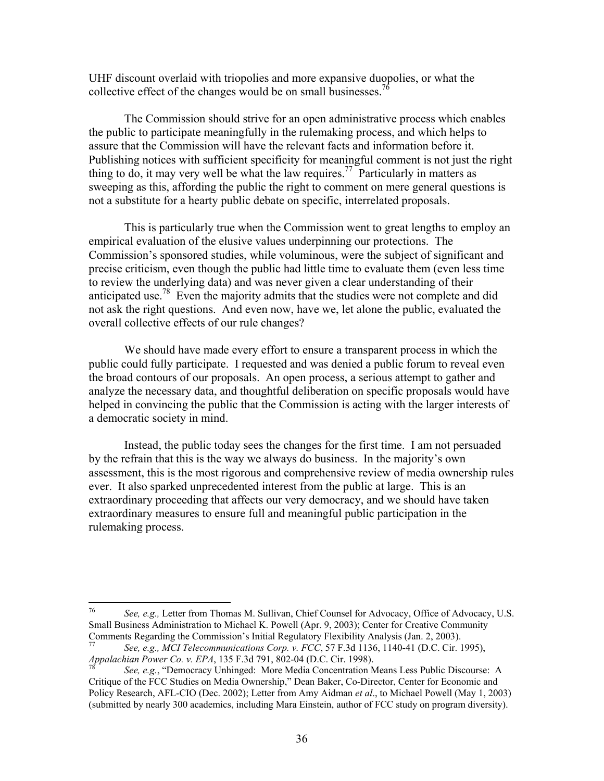UHF discount overlaid with triopolies and more expansive duopolies, or what the collective effect of the changes would be on small businesses.<sup>76</sup>

The Commission should strive for an open administrative process which enables the public to participate meaningfully in the rulemaking process, and which helps to assure that the Commission will have the relevant facts and information before it. Publishing notices with sufficient specificity for meaningful comment is not just the right thing to do, it may very well be what the law requires.<sup>77</sup> Particularly in matters as sweeping as this, affording the public the right to comment on mere general questions is not a substitute for a hearty public debate on specific, interrelated proposals.

This is particularly true when the Commission went to great lengths to employ an empirical evaluation of the elusive values underpinning our protections. The Commission's sponsored studies, while voluminous, were the subject of significant and precise criticism, even though the public had little time to evaluate them (even less time to review the underlying data) and was never given a clear understanding of their anticipated use.<sup>78</sup> Even the majority admits that the studies were not complete and did not ask the right questions. And even now, have we, let alone the public, evaluated the overall collective effects of our rule changes?

 We should have made every effort to ensure a transparent process in which the public could fully participate. I requested and was denied a public forum to reveal even the broad contours of our proposals. An open process, a serious attempt to gather and analyze the necessary data, and thoughtful deliberation on specific proposals would have helped in convincing the public that the Commission is acting with the larger interests of a democratic society in mind.

 Instead, the public today sees the changes for the first time. I am not persuaded by the refrain that this is the way we always do business. In the majority's own assessment, this is the most rigorous and comprehensive review of media ownership rules ever. It also sparked unprecedented interest from the public at large. This is an extraordinary proceeding that affects our very democracy, and we should have taken extraordinary measures to ensure full and meaningful public participation in the rulemaking process.

<sup>76</sup> 76 *See, e.g.,* Letter from Thomas M. Sullivan, Chief Counsel for Advocacy, Office of Advocacy, U.S. Small Business Administration to Michael K. Powell (Apr. 9, 2003); Center for Creative Community Comments Regarding the Commission's Initial Regulatory Flexibility Analysis (Jan. 2, 2003).

<sup>77</sup> *See, e.g., MCI Telecommunications Corp. v. FCC*, 57 F.3d 1136, 1140-41 (D.C. Cir. 1995),

*See, e.g.*, "Democracy Unhinged: More Media Concentration Means Less Public Discourse: A Critique of the FCC Studies on Media Ownership," Dean Baker, Co-Director, Center for Economic and Policy Research, AFL-CIO (Dec. 2002); Letter from Amy Aidman *et al*., to Michael Powell (May 1, 2003) (submitted by nearly 300 academics, including Mara Einstein, author of FCC study on program diversity).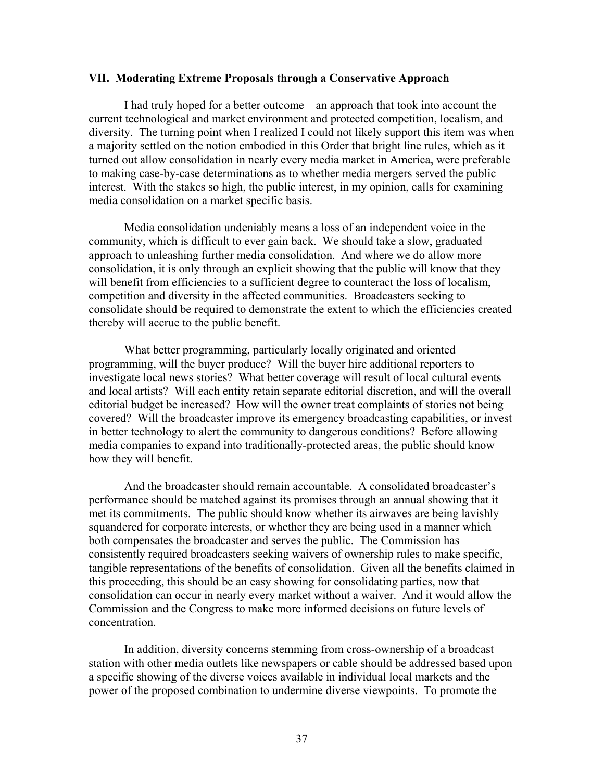### **VII. Moderating Extreme Proposals through a Conservative Approach**

I had truly hoped for a better outcome – an approach that took into account the current technological and market environment and protected competition, localism, and diversity. The turning point when I realized I could not likely support this item was when a majority settled on the notion embodied in this Order that bright line rules, which as it turned out allow consolidation in nearly every media market in America, were preferable to making case-by-case determinations as to whether media mergers served the public interest. With the stakes so high, the public interest, in my opinion, calls for examining media consolidation on a market specific basis.

Media consolidation undeniably means a loss of an independent voice in the community, which is difficult to ever gain back. We should take a slow, graduated approach to unleashing further media consolidation. And where we do allow more consolidation, it is only through an explicit showing that the public will know that they will benefit from efficiencies to a sufficient degree to counteract the loss of localism, competition and diversity in the affected communities. Broadcasters seeking to consolidate should be required to demonstrate the extent to which the efficiencies created thereby will accrue to the public benefit.

What better programming, particularly locally originated and oriented programming, will the buyer produce? Will the buyer hire additional reporters to investigate local news stories? What better coverage will result of local cultural events and local artists? Will each entity retain separate editorial discretion, and will the overall editorial budget be increased? How will the owner treat complaints of stories not being covered? Will the broadcaster improve its emergency broadcasting capabilities, or invest in better technology to alert the community to dangerous conditions? Before allowing media companies to expand into traditionally-protected areas, the public should know how they will benefit.

And the broadcaster should remain accountable. A consolidated broadcaster's performance should be matched against its promises through an annual showing that it met its commitments. The public should know whether its airwaves are being lavishly squandered for corporate interests, or whether they are being used in a manner which both compensates the broadcaster and serves the public. The Commission has consistently required broadcasters seeking waivers of ownership rules to make specific, tangible representations of the benefits of consolidation. Given all the benefits claimed in this proceeding, this should be an easy showing for consolidating parties, now that consolidation can occur in nearly every market without a waiver. And it would allow the Commission and the Congress to make more informed decisions on future levels of concentration.

 In addition, diversity concerns stemming from cross-ownership of a broadcast station with other media outlets like newspapers or cable should be addressed based upon a specific showing of the diverse voices available in individual local markets and the power of the proposed combination to undermine diverse viewpoints. To promote the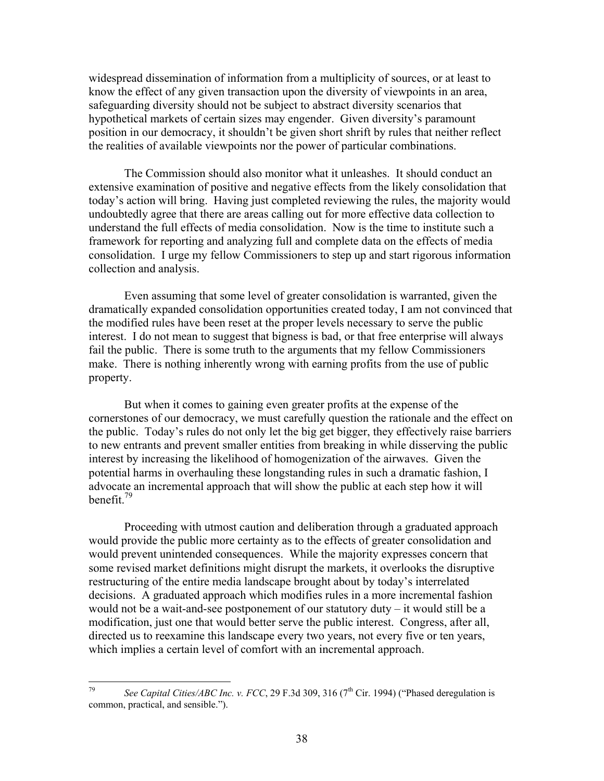widespread dissemination of information from a multiplicity of sources, or at least to know the effect of any given transaction upon the diversity of viewpoints in an area, safeguarding diversity should not be subject to abstract diversity scenarios that hypothetical markets of certain sizes may engender. Given diversity's paramount position in our democracy, it shouldn't be given short shrift by rules that neither reflect the realities of available viewpoints nor the power of particular combinations.

 The Commission should also monitor what it unleashes. It should conduct an extensive examination of positive and negative effects from the likely consolidation that today's action will bring. Having just completed reviewing the rules, the majority would undoubtedly agree that there are areas calling out for more effective data collection to understand the full effects of media consolidation. Now is the time to institute such a framework for reporting and analyzing full and complete data on the effects of media consolidation. I urge my fellow Commissioners to step up and start rigorous information collection and analysis.

Even assuming that some level of greater consolidation is warranted, given the dramatically expanded consolidation opportunities created today, I am not convinced that the modified rules have been reset at the proper levels necessary to serve the public interest. I do not mean to suggest that bigness is bad, or that free enterprise will always fail the public. There is some truth to the arguments that my fellow Commissioners make. There is nothing inherently wrong with earning profits from the use of public property.

But when it comes to gaining even greater profits at the expense of the cornerstones of our democracy, we must carefully question the rationale and the effect on the public. Today's rules do not only let the big get bigger, they effectively raise barriers to new entrants and prevent smaller entities from breaking in while disserving the public interest by increasing the likelihood of homogenization of the airwaves. Given the potential harms in overhauling these longstanding rules in such a dramatic fashion, I advocate an incremental approach that will show the public at each step how it will benefit<sup>79</sup>

Proceeding with utmost caution and deliberation through a graduated approach would provide the public more certainty as to the effects of greater consolidation and would prevent unintended consequences. While the majority expresses concern that some revised market definitions might disrupt the markets, it overlooks the disruptive restructuring of the entire media landscape brought about by today's interrelated decisions. A graduated approach which modifies rules in a more incremental fashion would not be a wait-and-see postponement of our statutory duty – it would still be a modification, just one that would better serve the public interest. Congress, after all, directed us to reexamine this landscape every two years, not every five or ten years, which implies a certain level of comfort with an incremental approach.

<sup>79</sup> See Capital Cities/ABC Inc. v. FCC, 29 F.3d 309, 316 (7<sup>th</sup> Cir. 1994) ("Phased deregulation is common, practical, and sensible.").